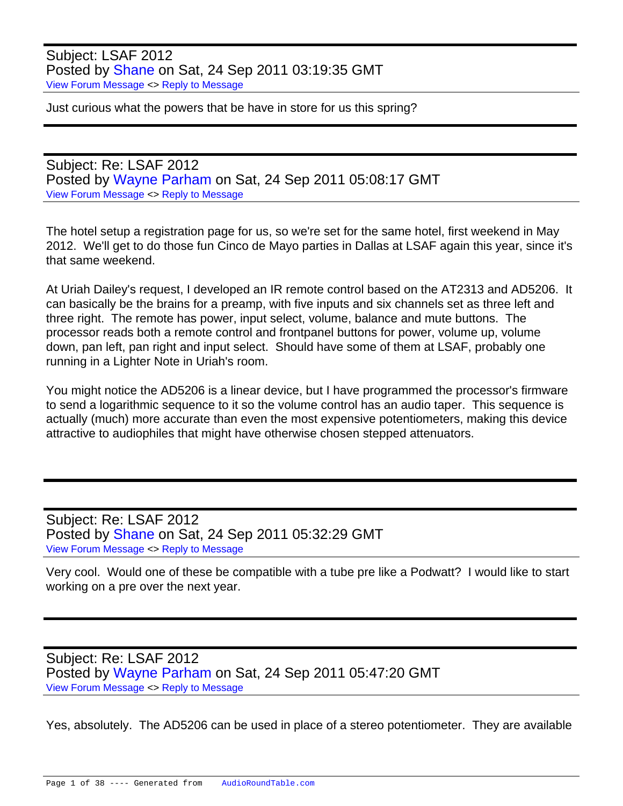Subject: LSAF 2012 Posted by [Shane](https://audioroundtable.com/forum/index.php?t=usrinfo&id=175) on Sat, 24 Sep 2011 03:19:35 GMT [View Forum Message](https://audioroundtable.com/forum/index.php?t=rview&th=17221&goto=69582#msg_69582) <> [Reply to Message](https://audioroundtable.com/forum/index.php?t=post&reply_to=69582)

Just curious what the powers that be have in store for us this spring?

Subject: Re: LSAF 2012 Posted by [Wayne Parham](https://audioroundtable.com/forum/index.php?t=usrinfo&id=5) on Sat, 24 Sep 2011 05:08:17 GMT [View Forum Message](https://audioroundtable.com/forum/index.php?t=rview&th=17221&goto=69583#msg_69583) <> [Reply to Message](https://audioroundtable.com/forum/index.php?t=post&reply_to=69583)

The hotel setup a registration page for us, so we're set for the same hotel, first weekend in May 2012. We'll get to do those fun Cinco de Mayo parties in Dallas at LSAF again this year, since it's that same weekend.

At Uriah Dailey's request, I developed an IR remote control based on the AT2313 and AD5206. It can basically be the brains for a preamp, with five inputs and six channels set as three left and three right. The remote has power, input select, volume, balance and mute buttons. The processor reads both a remote control and frontpanel buttons for power, volume up, volume down, pan left, pan right and input select. Should have some of them at LSAF, probably one running in a Lighter Note in Uriah's room.

You might notice the AD5206 is a linear device, but I have programmed the processor's firmware to send a logarithmic sequence to it so the volume control has an audio taper. This sequence is actually (much) more accurate than even the most expensive potentiometers, making this device attractive to audiophiles that might have otherwise chosen stepped attenuators.

Subject: Re: LSAF 2012 Posted by [Shane](https://audioroundtable.com/forum/index.php?t=usrinfo&id=175) on Sat, 24 Sep 2011 05:32:29 GMT [View Forum Message](https://audioroundtable.com/forum/index.php?t=rview&th=17221&goto=69584#msg_69584) <> [Reply to Message](https://audioroundtable.com/forum/index.php?t=post&reply_to=69584)

Very cool. Would one of these be compatible with a tube pre like a Podwatt? I would like to start working on a pre over the next year.

Subject: Re: LSAF 2012 Posted by [Wayne Parham](https://audioroundtable.com/forum/index.php?t=usrinfo&id=5) on Sat, 24 Sep 2011 05:47:20 GMT [View Forum Message](https://audioroundtable.com/forum/index.php?t=rview&th=17221&goto=69586#msg_69586) <> [Reply to Message](https://audioroundtable.com/forum/index.php?t=post&reply_to=69586)

Yes, absolutely. The AD5206 can be used in place of a stereo potentiometer. They are available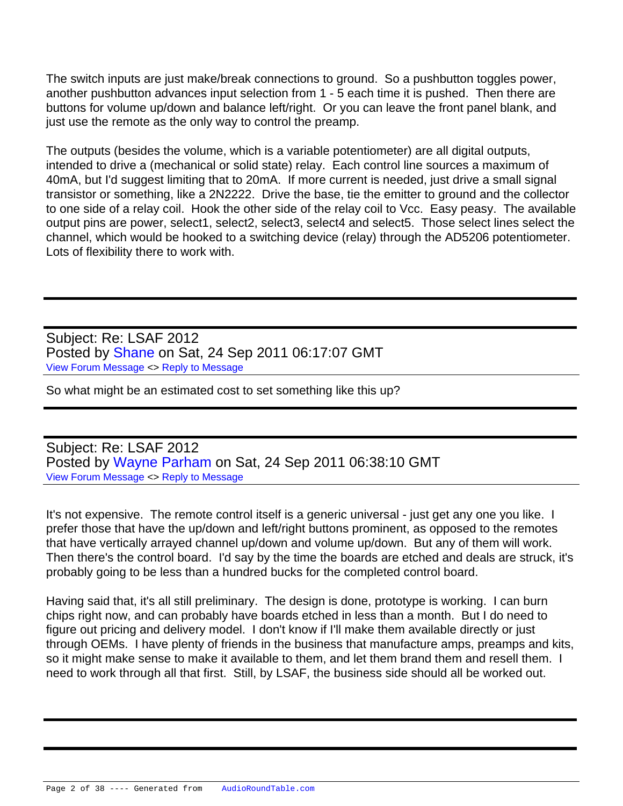The switch inputs are just make/break connections to ground. So a pushbutton toggles power, another pushbutton advances input selection from 1 - 5 each time it is pushed. Then there are buttons for volume up/down and balance left/right. Or you can leave the front panel blank, and just use the remote as the only way to control the preamp.

The outputs (besides the volume, which is a variable potentiometer) are all digital outputs, intended to drive a (mechanical or solid state) relay. Each control line sources a maximum of 40mA, but I'd suggest limiting that to 20mA. If more current is needed, just drive a small signal transistor or something, like a 2N2222. Drive the base, tie the emitter to ground and the collector to one side of a relay coil. Hook the other side of the relay coil to Vcc. Easy peasy. The available output pins are power, select1, select2, select3, select4 and select5. Those select lines select the channel, which would be hooked to a switching device (relay) through the AD5206 potentiometer. Lots of flexibility there to work with.

Subject: Re: LSAF 2012 Posted by [Shane](https://audioroundtable.com/forum/index.php?t=usrinfo&id=175) on Sat, 24 Sep 2011 06:17:07 GMT [View Forum Message](https://audioroundtable.com/forum/index.php?t=rview&th=17221&goto=69587#msg_69587) <> [Reply to Message](https://audioroundtable.com/forum/index.php?t=post&reply_to=69587)

So what might be an estimated cost to set something like this up?

Subject: Re: LSAF 2012 Posted by [Wayne Parham](https://audioroundtable.com/forum/index.php?t=usrinfo&id=5) on Sat, 24 Sep 2011 06:38:10 GMT [View Forum Message](https://audioroundtable.com/forum/index.php?t=rview&th=17221&goto=69588#msg_69588) <> [Reply to Message](https://audioroundtable.com/forum/index.php?t=post&reply_to=69588)

It's not expensive. The remote control itself is a generic universal - just get any one you like. I prefer those that have the up/down and left/right buttons prominent, as opposed to the remotes that have vertically arrayed channel up/down and volume up/down. But any of them will work. Then there's the control board. I'd say by the time the boards are etched and deals are struck, it's probably going to be less than a hundred bucks for the completed control board.

Having said that, it's all still preliminary. The design is done, prototype is working. I can burn chips right now, and can probably have boards etched in less than a month. But I do need to figure out pricing and delivery model. I don't know if I'll make them available directly or just through OEMs. I have plenty of friends in the business that manufacture amps, preamps and kits, so it might make sense to make it available to them, and let them brand them and resell them. I need to work through all that first. Still, by LSAF, the business side should all be worked out.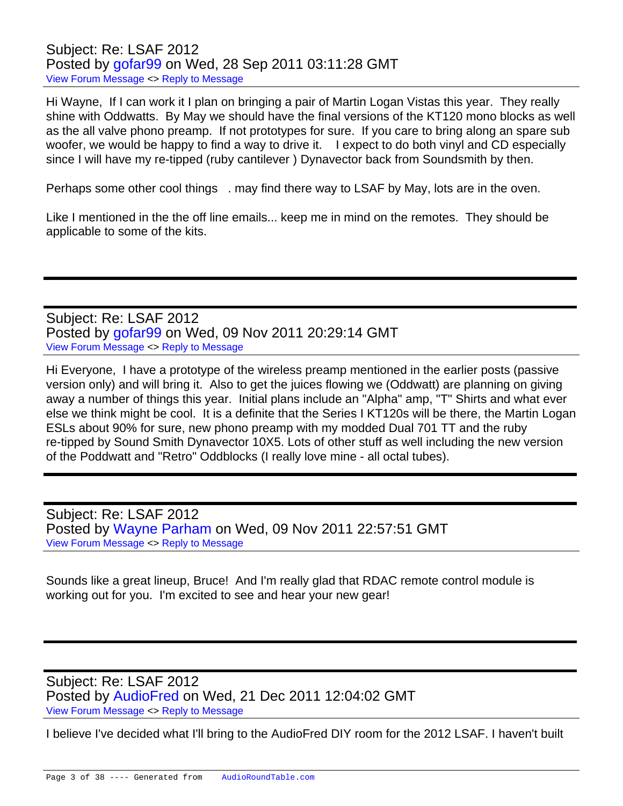Subject: Re: LSAF 2012 Posted by [gofar99](https://audioroundtable.com/forum/index.php?t=usrinfo&id=3806) on Wed, 28 Sep 2011 03:11:28 GMT [View Forum Message](https://audioroundtable.com/forum/index.php?t=rview&th=17221&goto=69631#msg_69631) <> [Reply to Message](https://audioroundtable.com/forum/index.php?t=post&reply_to=69631)

Hi Wayne, If I can work it I plan on bringing a pair of Martin Logan Vistas this year. They really shine with Oddwatts. By May we should have the final versions of the KT120 mono blocks as well as the all valve phono preamp. If not prototypes for sure. If you care to bring along an spare sub woofer, we would be happy to find a way to drive it. I expect to do both vinyl and CD especially since I will have my re-tipped (ruby cantilever ) Dynavector back from Soundsmith by then.

Perhaps some other cool things . may find there way to LSAF by May, lots are in the oven.

Like I mentioned in the the off line emails... keep me in mind on the remotes. They should be applicable to some of the kits.

Subject: Re: LSAF 2012 Posted by [gofar99](https://audioroundtable.com/forum/index.php?t=usrinfo&id=3806) on Wed, 09 Nov 2011 20:29:14 GMT [View Forum Message](https://audioroundtable.com/forum/index.php?t=rview&th=17221&goto=70080#msg_70080) <> [Reply to Message](https://audioroundtable.com/forum/index.php?t=post&reply_to=70080)

Hi Everyone, I have a prototype of the wireless preamp mentioned in the earlier posts (passive version only) and will bring it. Also to get the juices flowing we (Oddwatt) are planning on giving away a number of things this year. Initial plans include an "Alpha" amp, "T" Shirts and what ever else we think might be cool. It is a definite that the Series I KT120s will be there, the Martin Logan ESLs about 90% for sure, new phono preamp with my modded Dual 701 TT and the ruby re-tipped by Sound Smith Dynavector 10X5. Lots of other stuff as well including the new version of the Poddwatt and "Retro" Oddblocks (I really love mine - all octal tubes).

Subject: Re: LSAF 2012 Posted by [Wayne Parham](https://audioroundtable.com/forum/index.php?t=usrinfo&id=5) on Wed, 09 Nov 2011 22:57:51 GMT [View Forum Message](https://audioroundtable.com/forum/index.php?t=rview&th=17221&goto=70082#msg_70082) <> [Reply to Message](https://audioroundtable.com/forum/index.php?t=post&reply_to=70082)

Sounds like a great lineup, Bruce! And I'm really glad that RDAC remote control module is working out for you. I'm excited to see and hear your new gear!

Subject: Re: LSAF 2012 Posted by [AudioFred](https://audioroundtable.com/forum/index.php?t=usrinfo&id=3429) on Wed, 21 Dec 2011 12:04:02 GMT [View Forum Message](https://audioroundtable.com/forum/index.php?t=rview&th=17221&goto=70538#msg_70538) <> [Reply to Message](https://audioroundtable.com/forum/index.php?t=post&reply_to=70538)

I believe I've decided what I'll bring to the AudioFred DIY room for the 2012 LSAF. I haven't built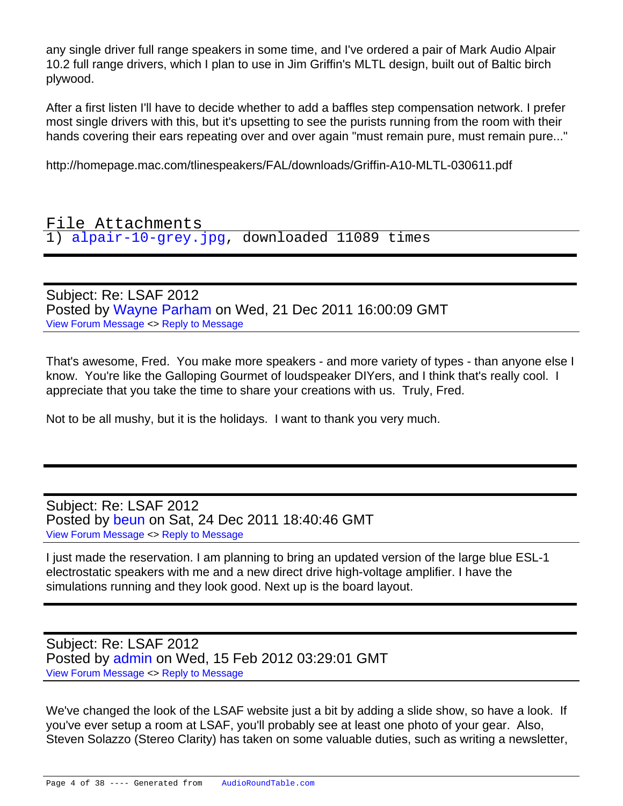any single driver full range speakers in some time, and I've ordered a pair of Mark Audio Alpair 10.2 full range drivers, which I plan to use in Jim Griffin's MLTL design, built out of Baltic birch plywood.

After a first listen I'll have to decide whether to add a baffles step compensation network. I prefer most single drivers with this, but it's upsetting to see the purists running from the room with their hands covering their ears repeating over and over again "must remain pure, must remain pure..."

http://homepage.mac.com/tlinespeakers/FAL/downloads/Griffin-A10-MLTL-030611.pdf

File Attachments 1) [alpair-10-grey.jpg,](https://audioroundtable.com/forum/index.php?t=getfile&id=656) downloaded 11089 times

Subject: Re: LSAF 2012 Posted by [Wayne Parham](https://audioroundtable.com/forum/index.php?t=usrinfo&id=5) on Wed, 21 Dec 2011 16:00:09 GMT [View Forum Message](https://audioroundtable.com/forum/index.php?t=rview&th=17221&goto=70543#msg_70543) <> [Reply to Message](https://audioroundtable.com/forum/index.php?t=post&reply_to=70543)

That's awesome, Fred. You make more speakers - and more variety of types - than anyone else I know. You're like the Galloping Gourmet of loudspeaker DIYers, and I think that's really cool. I appreciate that you take the time to share your creations with us. Truly, Fred.

Not to be all mushy, but it is the holidays. I want to thank you very much.

Subject: Re: LSAF 2012 Posted by [beun](https://audioroundtable.com/forum/index.php?t=usrinfo&id=3467) on Sat, 24 Dec 2011 18:40:46 GMT [View Forum Message](https://audioroundtable.com/forum/index.php?t=rview&th=17221&goto=70619#msg_70619) <> [Reply to Message](https://audioroundtable.com/forum/index.php?t=post&reply_to=70619)

I just made the reservation. I am planning to bring an updated version of the large blue ESL-1 electrostatic speakers with me and a new direct drive high-voltage amplifier. I have the simulations running and they look good. Next up is the board layout.

Subject: Re: LSAF 2012 Posted by [admin](https://audioroundtable.com/forum/index.php?t=usrinfo&id=2) on Wed, 15 Feb 2012 03:29:01 GMT [View Forum Message](https://audioroundtable.com/forum/index.php?t=rview&th=17221&goto=71365#msg_71365) <> [Reply to Message](https://audioroundtable.com/forum/index.php?t=post&reply_to=71365)

We've changed the look of the LSAF website just a bit by adding a slide show, so have a look. If you've ever setup a room at LSAF, you'll probably see at least one photo of your gear. Also, Steven Solazzo (Stereo Clarity) has taken on some valuable duties, such as writing a newsletter,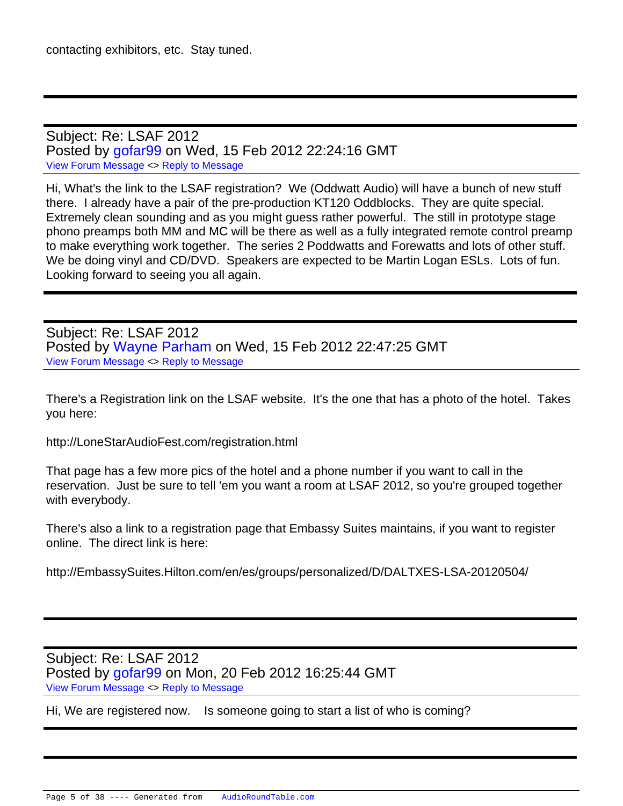Subject: Re: LSAF 2012 Posted by [gofar99](https://audioroundtable.com/forum/index.php?t=usrinfo&id=3806) on Wed, 15 Feb 2012 22:24:16 GMT [View Forum Message](https://audioroundtable.com/forum/index.php?t=rview&th=17221&goto=71372#msg_71372) <> [Reply to Message](https://audioroundtable.com/forum/index.php?t=post&reply_to=71372)

Hi, What's the link to the LSAF registration? We (Oddwatt Audio) will have a bunch of new stuff there. I already have a pair of the pre-production KT120 Oddblocks. They are quite special. Extremely clean sounding and as you might guess rather powerful. The still in prototype stage phono preamps both MM and MC will be there as well as a fully integrated remote control preamp to make everything work together. The series 2 Poddwatts and Forewatts and lots of other stuff. We be doing vinyl and CD/DVD. Speakers are expected to be Martin Logan ESLs. Lots of fun. Looking forward to seeing you all again.

Subject: Re: LSAF 2012 Posted by [Wayne Parham](https://audioroundtable.com/forum/index.php?t=usrinfo&id=5) on Wed, 15 Feb 2012 22:47:25 GMT [View Forum Message](https://audioroundtable.com/forum/index.php?t=rview&th=17221&goto=71373#msg_71373) <> [Reply to Message](https://audioroundtable.com/forum/index.php?t=post&reply_to=71373)

There's a Registration link on the LSAF website. It's the one that has a photo of the hotel. Takes you here:

http://LoneStarAudioFest.com/registration.html

That page has a few more pics of the hotel and a phone number if you want to call in the reservation. Just be sure to tell 'em you want a room at LSAF 2012, so you're grouped together with everybody.

There's also a link to a registration page that Embassy Suites maintains, if you want to register online. The direct link is here:

http://EmbassySuites.Hilton.com/en/es/groups/personalized/D/DALTXES-LSA-20120504/

Subject: Re: LSAF 2012 Posted by [gofar99](https://audioroundtable.com/forum/index.php?t=usrinfo&id=3806) on Mon, 20 Feb 2012 16:25:44 GMT [View Forum Message](https://audioroundtable.com/forum/index.php?t=rview&th=17221&goto=71427#msg_71427) <> [Reply to Message](https://audioroundtable.com/forum/index.php?t=post&reply_to=71427)

Hi, We are registered now. Is someone going to start a list of who is coming?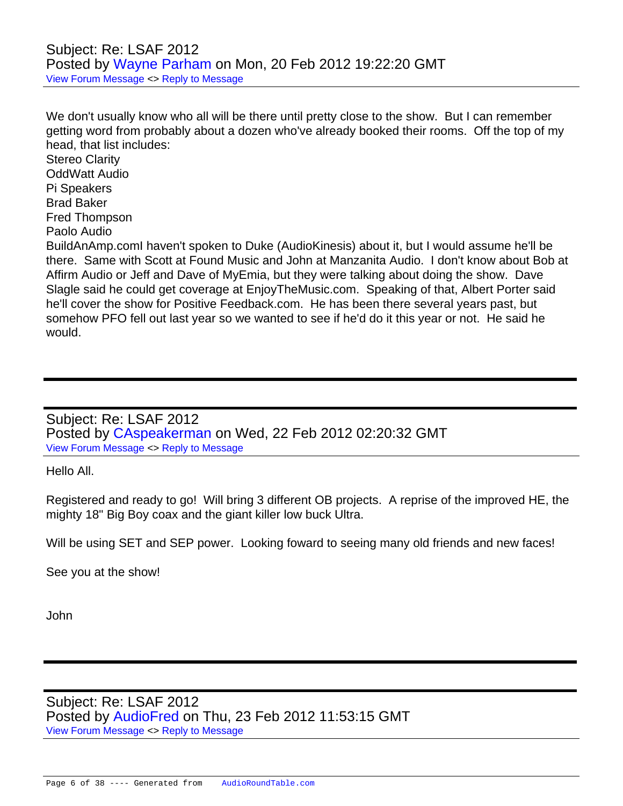## Subject: Re: LSAF 2012 Posted by [Wayne Parham](https://audioroundtable.com/forum/index.php?t=usrinfo&id=5) on Mon, 20 Feb 2012 19:22:20 GMT [View Forum Message](https://audioroundtable.com/forum/index.php?t=rview&th=17221&goto=71431#msg_71431) <> [Reply to Message](https://audioroundtable.com/forum/index.php?t=post&reply_to=71431)

We don't usually know who all will be there until pretty close to the show. But I can remember getting word from probably about a dozen who've already booked their rooms. Off the top of my head, that list includes:

Stereo Clarity OddWatt Audio Pi Speakers Brad Baker Fred Thompson Paolo Audio BuildAnAmp.comI haven't spoken to Duke (AudioKinesis) about it, but I would assume he'll be there. Same with Scott at Found Music and John at Manzanita Audio. I don't know about Bob at Affirm Audio or Jeff and Dave of MyEmia, but they were talking about doing the show. Dave Slagle said he could get coverage at EnjoyTheMusic.com. Speaking of that, Albert Porter said he'll cover the show for Positive Feedback.com. He has been there several years past, but somehow PFO fell out last year so we wanted to see if he'd do it this year or not. He said he

Subject: Re: LSAF 2012 Posted by [CAspeakerman](https://audioroundtable.com/forum/index.php?t=usrinfo&id=3541) on Wed, 22 Feb 2012 02:20:32 GMT [View Forum Message](https://audioroundtable.com/forum/index.php?t=rview&th=17221&goto=71456#msg_71456) <> [Reply to Message](https://audioroundtable.com/forum/index.php?t=post&reply_to=71456)

Hello All.

would.

Registered and ready to go! Will bring 3 different OB projects. A reprise of the improved HE, the mighty 18" Big Boy coax and the giant killer low buck Ultra.

Will be using SET and SEP power. Looking foward to seeing many old friends and new faces!

See you at the show!

John

Subject: Re: LSAF 2012 Posted by [AudioFred](https://audioroundtable.com/forum/index.php?t=usrinfo&id=3429) on Thu, 23 Feb 2012 11:53:15 GMT [View Forum Message](https://audioroundtable.com/forum/index.php?t=rview&th=17221&goto=71481#msg_71481) <> [Reply to Message](https://audioroundtable.com/forum/index.php?t=post&reply_to=71481)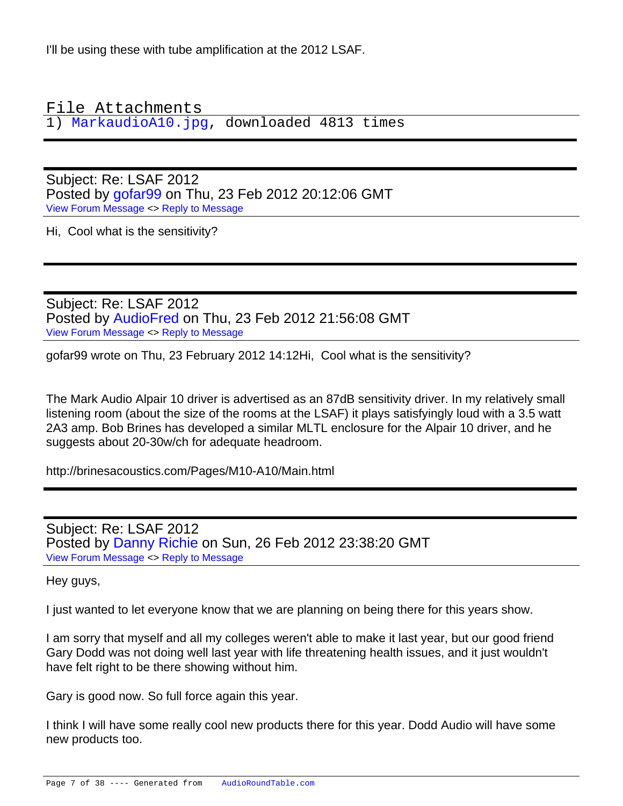I'll be using these with tube amplification at the 2012 LSAF.

File Attachments

1) [MarkaudioA10.jpg,](https://audioroundtable.com/forum/index.php?t=getfile&id=723) downloaded 4813 times

Subject: Re: LSAF 2012 Posted by [gofar99](https://audioroundtable.com/forum/index.php?t=usrinfo&id=3806) on Thu, 23 Feb 2012 20:12:06 GMT [View Forum Message](https://audioroundtable.com/forum/index.php?t=rview&th=17221&goto=71492#msg_71492) <> [Reply to Message](https://audioroundtable.com/forum/index.php?t=post&reply_to=71492)

Hi, Cool what is the sensitivity?

Subject: Re: LSAF 2012 Posted by [AudioFred](https://audioroundtable.com/forum/index.php?t=usrinfo&id=3429) on Thu, 23 Feb 2012 21:56:08 GMT [View Forum Message](https://audioroundtable.com/forum/index.php?t=rview&th=17221&goto=71497#msg_71497) <> [Reply to Message](https://audioroundtable.com/forum/index.php?t=post&reply_to=71497)

gofar99 wrote on Thu, 23 February 2012 14:12Hi, Cool what is the sensitivity?

The Mark Audio Alpair 10 driver is advertised as an 87dB sensitivity driver. In my relatively small listening room (about the size of the rooms at the LSAF) it plays satisfyingly loud with a 3.5 watt 2A3 amp. Bob Brines has developed a similar MLTL enclosure for the Alpair 10 driver, and he suggests about 20-30w/ch for adequate headroom.

http://brinesacoustics.com/Pages/M10-A10/Main.html

Subject: Re: LSAF 2012 Posted by [Danny Richie](https://audioroundtable.com/forum/index.php?t=usrinfo&id=1500) on Sun, 26 Feb 2012 23:38:20 GMT [View Forum Message](https://audioroundtable.com/forum/index.php?t=rview&th=17221&goto=71541#msg_71541) <> [Reply to Message](https://audioroundtable.com/forum/index.php?t=post&reply_to=71541)

Hey guys,

I just wanted to let everyone know that we are planning on being there for this years show.

I am sorry that myself and all my colleges weren't able to make it last year, but our good friend Gary Dodd was not doing well last year with life threatening health issues, and it just wouldn't have felt right to be there showing without him.

Gary is good now. So full force again this year.

I think I will have some really cool new products there for this year. Dodd Audio will have some new products too.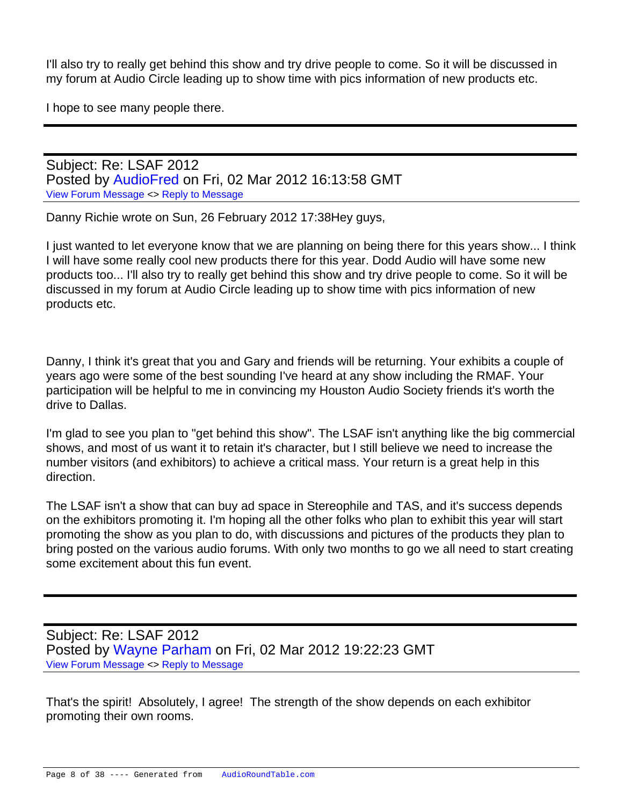I'll also try to really get behind this show and try drive people to come. So it will be discussed in my forum at Audio Circle leading up to show time with pics information of new products etc.

I hope to see many people there.

Subject: Re: LSAF 2012 Posted by [AudioFred](https://audioroundtable.com/forum/index.php?t=usrinfo&id=3429) on Fri, 02 Mar 2012 16:13:58 GMT [View Forum Message](https://audioroundtable.com/forum/index.php?t=rview&th=17221&goto=71635#msg_71635) <> [Reply to Message](https://audioroundtable.com/forum/index.php?t=post&reply_to=71635)

Danny Richie wrote on Sun, 26 February 2012 17:38Hey guys,

I just wanted to let everyone know that we are planning on being there for this years show... I think I will have some really cool new products there for this year. Dodd Audio will have some new products too... I'll also try to really get behind this show and try drive people to come. So it will be discussed in my forum at Audio Circle leading up to show time with pics information of new products etc.

Danny, I think it's great that you and Gary and friends will be returning. Your exhibits a couple of years ago were some of the best sounding I've heard at any show including the RMAF. Your participation will be helpful to me in convincing my Houston Audio Society friends it's worth the drive to Dallas.

I'm glad to see you plan to "get behind this show". The LSAF isn't anything like the big commercial shows, and most of us want it to retain it's character, but I still believe we need to increase the number visitors (and exhibitors) to achieve a critical mass. Your return is a great help in this direction.

The LSAF isn't a show that can buy ad space in Stereophile and TAS, and it's success depends on the exhibitors promoting it. I'm hoping all the other folks who plan to exhibit this year will start promoting the show as you plan to do, with discussions and pictures of the products they plan to bring posted on the various audio forums. With only two months to go we all need to start creating some excitement about this fun event.

Subject: Re: LSAF 2012 Posted by [Wayne Parham](https://audioroundtable.com/forum/index.php?t=usrinfo&id=5) on Fri, 02 Mar 2012 19:22:23 GMT [View Forum Message](https://audioroundtable.com/forum/index.php?t=rview&th=17221&goto=71638#msg_71638) <> [Reply to Message](https://audioroundtable.com/forum/index.php?t=post&reply_to=71638)

That's the spirit! Absolutely, I agree! The strength of the show depends on each exhibitor promoting their own rooms.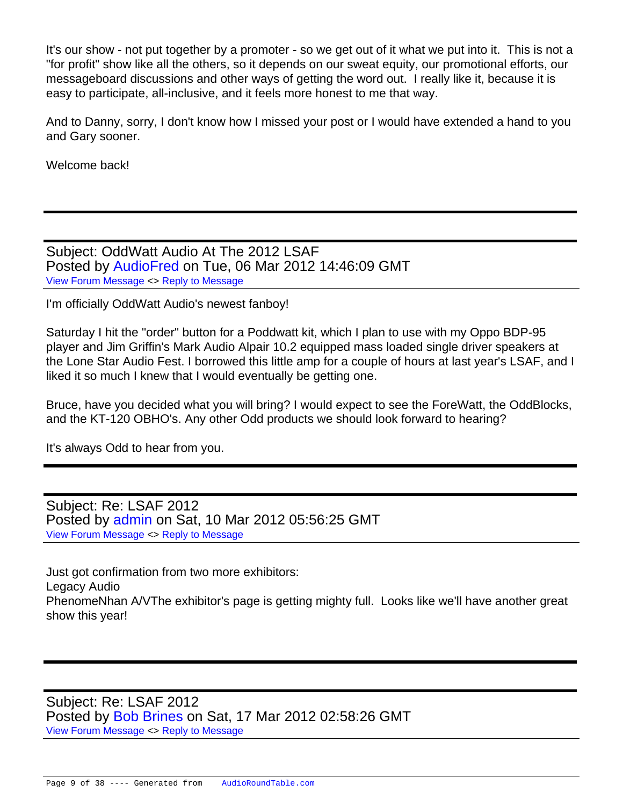It's our show - not put together by a promoter - so we get out of it what we put into it. This is not a "for profit" show like all the others, so it depends on our sweat equity, our promotional efforts, our messageboard discussions and other ways of getting the word out. I really like it, because it is easy to participate, all-inclusive, and it feels more honest to me that way.

And to Danny, sorry, I don't know how I missed your post or I would have extended a hand to you and Gary sooner.

Welcome back!

Subject: OddWatt Audio At The 2012 LSAF Posted by [AudioFred](https://audioroundtable.com/forum/index.php?t=usrinfo&id=3429) on Tue, 06 Mar 2012 14:46:09 GMT [View Forum Message](https://audioroundtable.com/forum/index.php?t=rview&th=17221&goto=71679#msg_71679) <> [Reply to Message](https://audioroundtable.com/forum/index.php?t=post&reply_to=71679)

I'm officially OddWatt Audio's newest fanboy!

Saturday I hit the "order" button for a Poddwatt kit, which I plan to use with my Oppo BDP-95 player and Jim Griffin's Mark Audio Alpair 10.2 equipped mass loaded single driver speakers at the Lone Star Audio Fest. I borrowed this little amp for a couple of hours at last year's LSAF, and I liked it so much I knew that I would eventually be getting one.

Bruce, have you decided what you will bring? I would expect to see the ForeWatt, the OddBlocks, and the KT-120 OBHO's. Any other Odd products we should look forward to hearing?

It's always Odd to hear from you.

Subject: Re: LSAF 2012 Posted by [admin](https://audioroundtable.com/forum/index.php?t=usrinfo&id=2) on Sat, 10 Mar 2012 05:56:25 GMT [View Forum Message](https://audioroundtable.com/forum/index.php?t=rview&th=17221&goto=71717#msg_71717) <> [Reply to Message](https://audioroundtable.com/forum/index.php?t=post&reply_to=71717)

Just got confirmation from two more exhibitors: Legacy Audio PhenomeNhan A/VThe exhibitor's page is getting mighty full. Looks like we'll have another great show this year!

Subject: Re: LSAF 2012 Posted by [Bob Brines](https://audioroundtable.com/forum/index.php?t=usrinfo&id=130) on Sat, 17 Mar 2012 02:58:26 GMT [View Forum Message](https://audioroundtable.com/forum/index.php?t=rview&th=17221&goto=71807#msg_71807) <> [Reply to Message](https://audioroundtable.com/forum/index.php?t=post&reply_to=71807)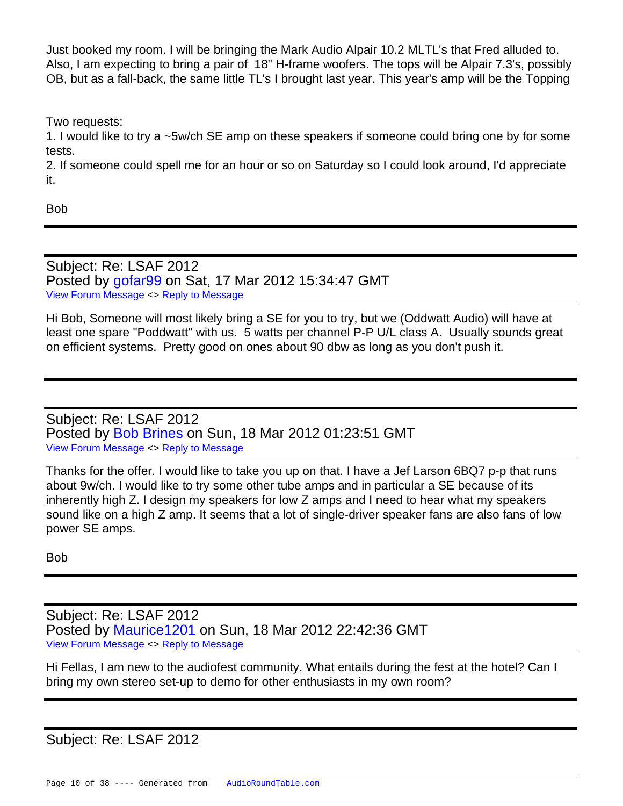Just booked my room. I will be bringing the Mark Audio Alpair 10.2 MLTL's that Fred alluded to. Also, I am expecting to bring a pair of 18" H-frame woofers. The tops will be Alpair 7.3's, possibly OB, but as a fall-back, the same little TL's I brought last year. This year's amp will be the Topping

Two requests:

1. I would like to try a ~5w/ch SE amp on these speakers if someone could bring one by for some tests.

2. If someone could spell me for an hour or so on Saturday so I could look around, I'd appreciate it.

Bob

Subject: Re: LSAF 2012 Posted by [gofar99](https://audioroundtable.com/forum/index.php?t=usrinfo&id=3806) on Sat, 17 Mar 2012 15:34:47 GMT [View Forum Message](https://audioroundtable.com/forum/index.php?t=rview&th=17221&goto=71813#msg_71813) <> [Reply to Message](https://audioroundtable.com/forum/index.php?t=post&reply_to=71813)

Hi Bob, Someone will most likely bring a SE for you to try, but we (Oddwatt Audio) will have at least one spare "Poddwatt" with us. 5 watts per channel P-P U/L class A. Usually sounds great on efficient systems. Pretty good on ones about 90 dbw as long as you don't push it.

Subject: Re: LSAF 2012 Posted by [Bob Brines](https://audioroundtable.com/forum/index.php?t=usrinfo&id=130) on Sun, 18 Mar 2012 01:23:51 GMT [View Forum Message](https://audioroundtable.com/forum/index.php?t=rview&th=17221&goto=71815#msg_71815) <> [Reply to Message](https://audioroundtable.com/forum/index.php?t=post&reply_to=71815)

Thanks for the offer. I would like to take you up on that. I have a Jef Larson 6BQ7 p-p that runs about 9w/ch. I would like to try some other tube amps and in particular a SE because of its inherently high Z. I design my speakers for low Z amps and I need to hear what my speakers sound like on a high Z amp. It seems that a lot of single-driver speaker fans are also fans of low power SE amps.

Bob

Subject: Re: LSAF 2012 Posted by [Maurice1201](https://audioroundtable.com/forum/index.php?t=usrinfo&id=4504) on Sun, 18 Mar 2012 22:42:36 GMT [View Forum Message](https://audioroundtable.com/forum/index.php?t=rview&th=17221&goto=71826#msg_71826) <> [Reply to Message](https://audioroundtable.com/forum/index.php?t=post&reply_to=71826)

Hi Fellas, I am new to the audiofest community. What entails during the fest at the hotel? Can I bring my own stereo set-up to demo for other enthusiasts in my own room?

Subject: Re: LSAF 2012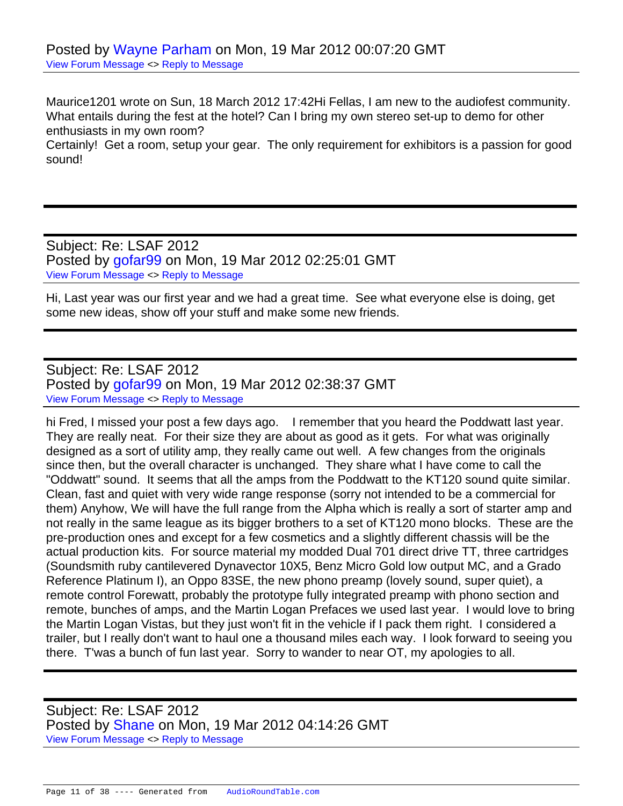Maurice1201 wrote on Sun, 18 March 2012 17:42Hi Fellas, I am new to the audiofest community. What entails during the fest at the hotel? Can I bring my own stereo set-up to demo for other enthusiasts in my own room?

Certainly! Get a room, setup your gear. The only requirement for exhibitors is a passion for good sound!

Subject: Re: LSAF 2012 Posted by [gofar99](https://audioroundtable.com/forum/index.php?t=usrinfo&id=3806) on Mon, 19 Mar 2012 02:25:01 GMT [View Forum Message](https://audioroundtable.com/forum/index.php?t=rview&th=17221&goto=71830#msg_71830) <> [Reply to Message](https://audioroundtable.com/forum/index.php?t=post&reply_to=71830)

Hi, Last year was our first year and we had a great time. See what everyone else is doing, get some new ideas, show off your stuff and make some new friends.

Subject: Re: LSAF 2012 Posted by [gofar99](https://audioroundtable.com/forum/index.php?t=usrinfo&id=3806) on Mon, 19 Mar 2012 02:38:37 GMT [View Forum Message](https://audioroundtable.com/forum/index.php?t=rview&th=17221&goto=71833#msg_71833) <> [Reply to Message](https://audioroundtable.com/forum/index.php?t=post&reply_to=71833)

hi Fred, I missed your post a few days ago. I remember that you heard the Poddwatt last year. They are really neat. For their size they are about as good as it gets. For what was originally designed as a sort of utility amp, they really came out well. A few changes from the originals since then, but the overall character is unchanged. They share what I have come to call the "Oddwatt" sound. It seems that all the amps from the Poddwatt to the KT120 sound quite similar. Clean, fast and quiet with very wide range response (sorry not intended to be a commercial for them) Anyhow, We will have the full range from the Alpha which is really a sort of starter amp and not really in the same league as its bigger brothers to a set of KT120 mono blocks. These are the pre-production ones and except for a few cosmetics and a slightly different chassis will be the actual production kits. For source material my modded Dual 701 direct drive TT, three cartridges (Soundsmith ruby cantilevered Dynavector 10X5, Benz Micro Gold low output MC, and a Grado Reference Platinum I), an Oppo 83SE, the new phono preamp (lovely sound, super quiet), a remote control Forewatt, probably the prototype fully integrated preamp with phono section and remote, bunches of amps, and the Martin Logan Prefaces we used last year. I would love to bring the Martin Logan Vistas, but they just won't fit in the vehicle if I pack them right. I considered a trailer, but I really don't want to haul one a thousand miles each way. I look forward to seeing you there. T'was a bunch of fun last year. Sorry to wander to near OT, my apologies to all.

Subject: Re: LSAF 2012 Posted by [Shane](https://audioroundtable.com/forum/index.php?t=usrinfo&id=175) on Mon, 19 Mar 2012 04:14:26 GMT [View Forum Message](https://audioroundtable.com/forum/index.php?t=rview&th=17221&goto=71840#msg_71840) <> [Reply to Message](https://audioroundtable.com/forum/index.php?t=post&reply_to=71840)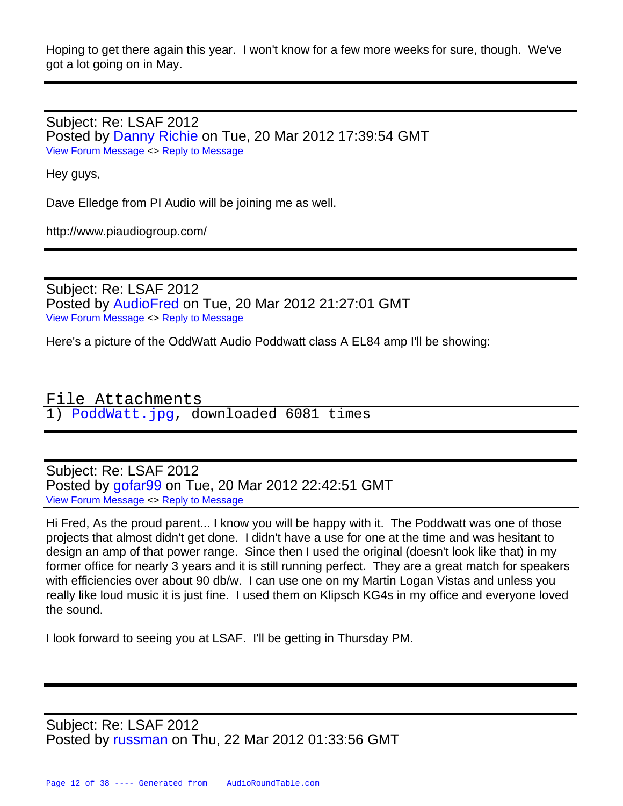Hoping to get there again this year. I won't know for a few more weeks for sure, though. We've got a lot going on in May.

Subject: Re: LSAF 2012 Posted by [Danny Richie](https://audioroundtable.com/forum/index.php?t=usrinfo&id=1500) on Tue, 20 Mar 2012 17:39:54 GMT [View Forum Message](https://audioroundtable.com/forum/index.php?t=rview&th=17221&goto=71854#msg_71854) <> [Reply to Message](https://audioroundtable.com/forum/index.php?t=post&reply_to=71854)

Hey guys,

Dave Elledge from PI Audio will be joining me as well.

http://www.piaudiogroup.com/

Subject: Re: LSAF 2012 Posted by [AudioFred](https://audioroundtable.com/forum/index.php?t=usrinfo&id=3429) on Tue, 20 Mar 2012 21:27:01 GMT [View Forum Message](https://audioroundtable.com/forum/index.php?t=rview&th=17221&goto=71859#msg_71859) <> [Reply to Message](https://audioroundtable.com/forum/index.php?t=post&reply_to=71859)

Here's a picture of the OddWatt Audio Poddwatt class A EL84 amp I'll be showing:

File Attachments 1) [PoddWatt.jpg](https://audioroundtable.com/forum/index.php?t=getfile&id=751), downloaded 6081 times

Subject: Re: LSAF 2012 Posted by [gofar99](https://audioroundtable.com/forum/index.php?t=usrinfo&id=3806) on Tue, 20 Mar 2012 22:42:51 GMT [View Forum Message](https://audioroundtable.com/forum/index.php?t=rview&th=17221&goto=71860#msg_71860) <> [Reply to Message](https://audioroundtable.com/forum/index.php?t=post&reply_to=71860)

Hi Fred, As the proud parent... I know you will be happy with it. The Poddwatt was one of those projects that almost didn't get done. I didn't have a use for one at the time and was hesitant to design an amp of that power range. Since then I used the original (doesn't look like that) in my former office for nearly 3 years and it is still running perfect. They are a great match for speakers with efficiencies over about 90 db/w. I can use one on my Martin Logan Vistas and unless you really like loud music it is just fine. I used them on Klipsch KG4s in my office and everyone loved the sound.

I look forward to seeing you at LSAF. I'll be getting in Thursday PM.

Subject: Re: LSAF 2012 Posted by [russman](https://audioroundtable.com/forum/index.php?t=usrinfo&id=250) on Thu, 22 Mar 2012 01:33:56 GMT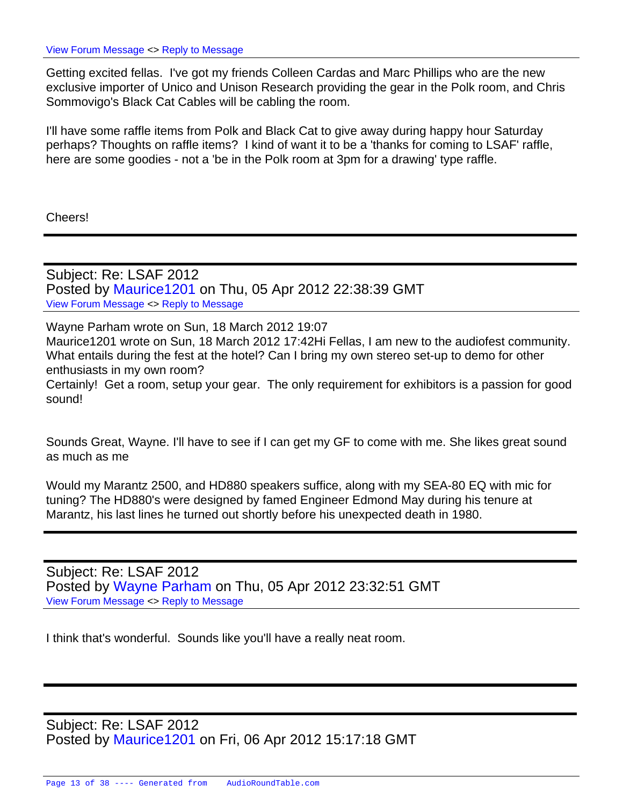Getting excited fellas. I've got my friends Colleen Cardas and Marc Phillips who are the new exclusive importer of Unico and Unison Research providing the gear in the Polk room, and Chris Sommovigo's Black Cat Cables will be cabling the room.

I'll have some raffle items from Polk and Black Cat to give away during happy hour Saturday perhaps? Thoughts on raffle items? I kind of want it to be a 'thanks for coming to LSAF' raffle, here are some goodies - not a 'be in the Polk room at 3pm for a drawing' type raffle.

Cheers!

Subject: Re: LSAF 2012 Posted by [Maurice1201](https://audioroundtable.com/forum/index.php?t=usrinfo&id=4504) on Thu, 05 Apr 2012 22:38:39 GMT [View Forum Message](https://audioroundtable.com/forum/index.php?t=rview&th=17221&goto=72029#msg_72029) <> [Reply to Message](https://audioroundtable.com/forum/index.php?t=post&reply_to=72029)

Wayne Parham wrote on Sun, 18 March 2012 19:07 Maurice1201 wrote on Sun, 18 March 2012 17:42Hi Fellas, I am new to the audiofest community. What entails during the fest at the hotel? Can I bring my own stereo set-up to demo for other enthusiasts in my own room? Certainly! Get a room, setup your gear. The only requirement for exhibitors is a passion for good sound!

Sounds Great, Wayne. I'll have to see if I can get my GF to come with me. She likes great sound as much as me

Would my Marantz 2500, and HD880 speakers suffice, along with my SEA-80 EQ with mic for tuning? The HD880's were designed by famed Engineer Edmond May during his tenure at Marantz, his last lines he turned out shortly before his unexpected death in 1980.

Subject: Re: LSAF 2012 Posted by [Wayne Parham](https://audioroundtable.com/forum/index.php?t=usrinfo&id=5) on Thu, 05 Apr 2012 23:32:51 GMT [View Forum Message](https://audioroundtable.com/forum/index.php?t=rview&th=17221&goto=72030#msg_72030) <> [Reply to Message](https://audioroundtable.com/forum/index.php?t=post&reply_to=72030)

I think that's wonderful. Sounds like you'll have a really neat room.

Subject: Re: LSAF 2012 Posted by [Maurice1201](https://audioroundtable.com/forum/index.php?t=usrinfo&id=4504) on Fri, 06 Apr 2012 15:17:18 GMT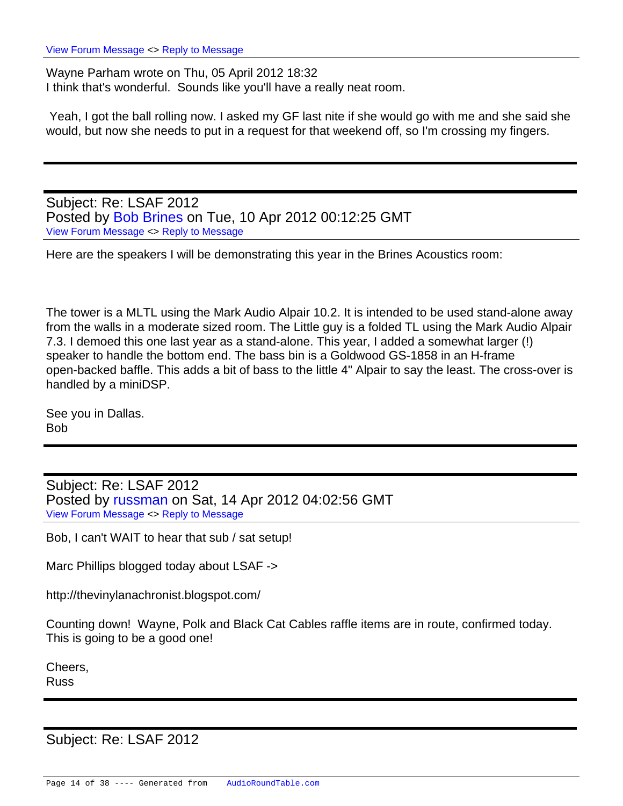Wayne Parham wrote on Thu, 05 April 2012 18:32 I think that's wonderful. Sounds like you'll have a really neat room.

 Yeah, I got the ball rolling now. I asked my GF last nite if she would go with me and she said she would, but now she needs to put in a request for that weekend off, so I'm crossing my fingers.

Subject: Re: LSAF 2012 Posted by [Bob Brines](https://audioroundtable.com/forum/index.php?t=usrinfo&id=130) on Tue, 10 Apr 2012 00:12:25 GMT [View Forum Message](https://audioroundtable.com/forum/index.php?t=rview&th=17221&goto=72075#msg_72075) <> [Reply to Message](https://audioroundtable.com/forum/index.php?t=post&reply_to=72075)

Here are the speakers I will be demonstrating this year in the Brines Acoustics room:

The tower is a MLTL using the Mark Audio Alpair 10.2. It is intended to be used stand-alone away from the walls in a moderate sized room. The Little guy is a folded TL using the Mark Audio Alpair 7.3. I demoed this one last year as a stand-alone. This year, I added a somewhat larger (!) speaker to handle the bottom end. The bass bin is a Goldwood GS-1858 in an H-frame open-backed baffle. This adds a bit of bass to the little 4" Alpair to say the least. The cross-over is handled by a miniDSP.

See you in Dallas. Bob

Subject: Re: LSAF 2012 Posted by [russman](https://audioroundtable.com/forum/index.php?t=usrinfo&id=250) on Sat, 14 Apr 2012 04:02:56 GMT [View Forum Message](https://audioroundtable.com/forum/index.php?t=rview&th=17221&goto=72141#msg_72141) <> [Reply to Message](https://audioroundtable.com/forum/index.php?t=post&reply_to=72141)

Bob, I can't WAIT to hear that sub / sat setup!

Marc Phillips blogged today about LSAF ->

http://thevinylanachronist.blogspot.com/

Counting down! Wayne, Polk and Black Cat Cables raffle items are in route, confirmed today. This is going to be a good one!

Cheers,

Russ

Subject: Re: LSAF 2012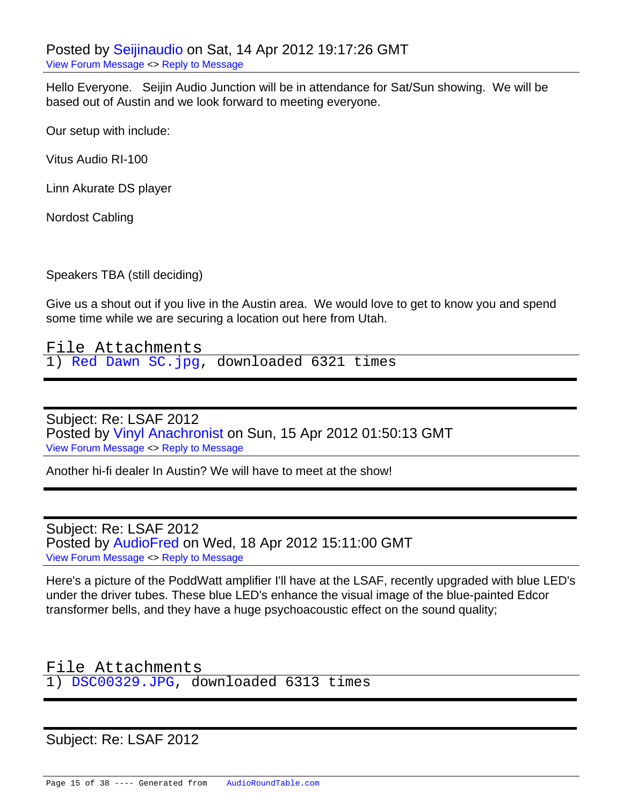Hello Everyone. Seijin Audio Junction will be in attendance for Sat/Sun showing. We will be based out of Austin and we look forward to meeting everyone.

Our setup with include:

Vitus Audio RI-100

Linn Akurate DS player

Nordost Cabling

Speakers TBA (still deciding)

Give us a shout out if you live in the Austin area. We would love to get to know you and spend some time while we are securing a location out here from Utah.

File Attachments 1) [Red Dawn SC.jpg,](https://audioroundtable.com/forum/index.php?t=getfile&id=759) downloaded 6321 times

Subject: Re: LSAF 2012 Posted by [Vinyl Anachronist](https://audioroundtable.com/forum/index.php?t=usrinfo&id=4618) on Sun, 15 Apr 2012 01:50:13 GMT [View Forum Message](https://audioroundtable.com/forum/index.php?t=rview&th=17221&goto=72148#msg_72148) <> [Reply to Message](https://audioroundtable.com/forum/index.php?t=post&reply_to=72148)

Another hi-fi dealer In Austin? We will have to meet at the show!

Subject: Re: LSAF 2012 Posted by [AudioFred](https://audioroundtable.com/forum/index.php?t=usrinfo&id=3429) on Wed, 18 Apr 2012 15:11:00 GMT [View Forum Message](https://audioroundtable.com/forum/index.php?t=rview&th=17221&goto=72220#msg_72220) <> [Reply to Message](https://audioroundtable.com/forum/index.php?t=post&reply_to=72220)

Here's a picture of the PoddWatt amplifier I'll have at the LSAF, recently upgraded with blue LED's under the driver tubes. These blue LED's enhance the visual image of the blue-painted Edcor transformer bells, and they have a huge psychoacoustic effect on the sound quality;

File Attachments 1) [DSC00329.JPG](https://audioroundtable.com/forum/index.php?t=getfile&id=762), downloaded 6313 times

Subject: Re: LSAF 2012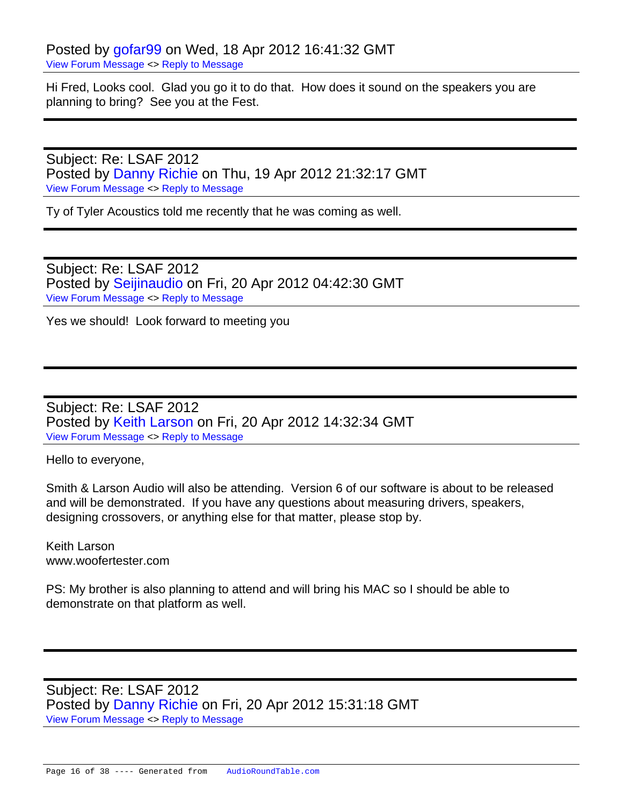Hi Fred, Looks cool. Glad you go it to do that. How does it sound on the speakers you are planning to bring? See you at the Fest.

Subject: Re: LSAF 2012 Posted by [Danny Richie](https://audioroundtable.com/forum/index.php?t=usrinfo&id=1500) on Thu, 19 Apr 2012 21:32:17 GMT [View Forum Message](https://audioroundtable.com/forum/index.php?t=rview&th=17221&goto=72255#msg_72255) <> [Reply to Message](https://audioroundtable.com/forum/index.php?t=post&reply_to=72255)

Ty of Tyler Acoustics told me recently that he was coming as well.

Subject: Re: LSAF 2012 Posted by [Seijinaudio](https://audioroundtable.com/forum/index.php?t=usrinfo&id=4617) on Fri, 20 Apr 2012 04:42:30 GMT [View Forum Message](https://audioroundtable.com/forum/index.php?t=rview&th=17221&goto=72271#msg_72271) <> [Reply to Message](https://audioroundtable.com/forum/index.php?t=post&reply_to=72271)

Yes we should! Look forward to meeting you

Subject: Re: LSAF 2012 Posted by [Keith Larson](https://audioroundtable.com/forum/index.php?t=usrinfo&id=258) on Fri, 20 Apr 2012 14:32:34 GMT [View Forum Message](https://audioroundtable.com/forum/index.php?t=rview&th=17221&goto=72276#msg_72276) <> [Reply to Message](https://audioroundtable.com/forum/index.php?t=post&reply_to=72276)

Hello to everyone,

Smith & Larson Audio will also be attending. Version 6 of our software is about to be released and will be demonstrated. If you have any questions about measuring drivers, speakers, designing crossovers, or anything else for that matter, please stop by.

Keith Larson www.woofertester.com

PS: My brother is also planning to attend and will bring his MAC so I should be able to demonstrate on that platform as well.

Subject: Re: LSAF 2012 Posted by [Danny Richie](https://audioroundtable.com/forum/index.php?t=usrinfo&id=1500) on Fri, 20 Apr 2012 15:31:18 GMT [View Forum Message](https://audioroundtable.com/forum/index.php?t=rview&th=17221&goto=72277#msg_72277) <> [Reply to Message](https://audioroundtable.com/forum/index.php?t=post&reply_to=72277)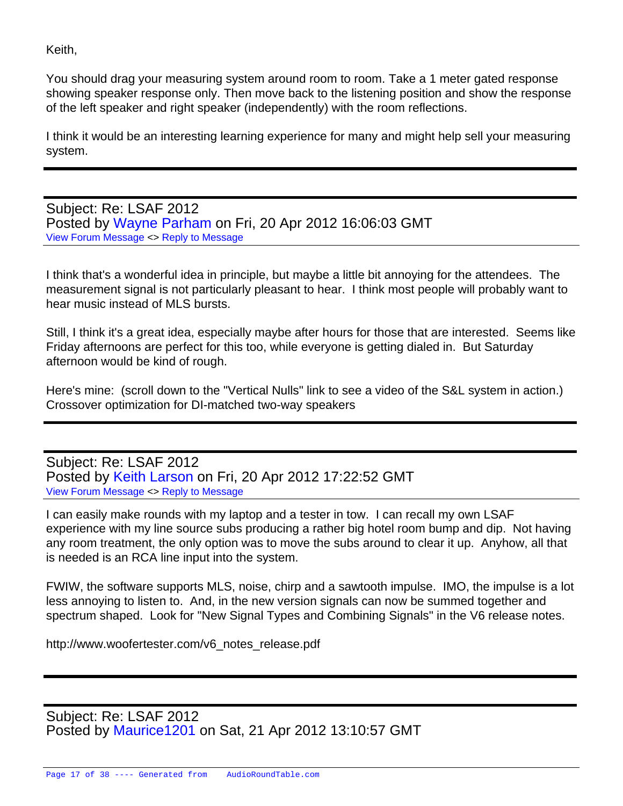Keith,

You should drag your measuring system around room to room. Take a 1 meter gated response showing speaker response only. Then move back to the listening position and show the response of the left speaker and right speaker (independently) with the room reflections.

I think it would be an interesting learning experience for many and might help sell your measuring system.

Subject: Re: LSAF 2012 Posted by [Wayne Parham](https://audioroundtable.com/forum/index.php?t=usrinfo&id=5) on Fri, 20 Apr 2012 16:06:03 GMT [View Forum Message](https://audioroundtable.com/forum/index.php?t=rview&th=17221&goto=72278#msg_72278) <> [Reply to Message](https://audioroundtable.com/forum/index.php?t=post&reply_to=72278)

I think that's a wonderful idea in principle, but maybe a little bit annoying for the attendees. The measurement signal is not particularly pleasant to hear. I think most people will probably want to hear music instead of MLS bursts.

Still, I think it's a great idea, especially maybe after hours for those that are interested. Seems like Friday afternoons are perfect for this too, while everyone is getting dialed in. But Saturday afternoon would be kind of rough.

Here's mine: (scroll down to the "Vertical Nulls" link to see a video of the S&L system in action.) Crossover optimization for DI-matched two-way speakers

Subject: Re: LSAF 2012 Posted by [Keith Larson](https://audioroundtable.com/forum/index.php?t=usrinfo&id=258) on Fri, 20 Apr 2012 17:22:52 GMT [View Forum Message](https://audioroundtable.com/forum/index.php?t=rview&th=17221&goto=72284#msg_72284) <> [Reply to Message](https://audioroundtable.com/forum/index.php?t=post&reply_to=72284)

I can easily make rounds with my laptop and a tester in tow. I can recall my own LSAF experience with my line source subs producing a rather big hotel room bump and dip. Not having any room treatment, the only option was to move the subs around to clear it up. Anyhow, all that is needed is an RCA line input into the system.

FWIW, the software supports MLS, noise, chirp and a sawtooth impulse. IMO, the impulse is a lot less annoying to listen to. And, in the new version signals can now be summed together and spectrum shaped. Look for "New Signal Types and Combining Signals" in the V6 release notes.

http://www.woofertester.com/v6\_notes\_release.pdf

Subject: Re: LSAF 2012 Posted by [Maurice1201](https://audioroundtable.com/forum/index.php?t=usrinfo&id=4504) on Sat, 21 Apr 2012 13:10:57 GMT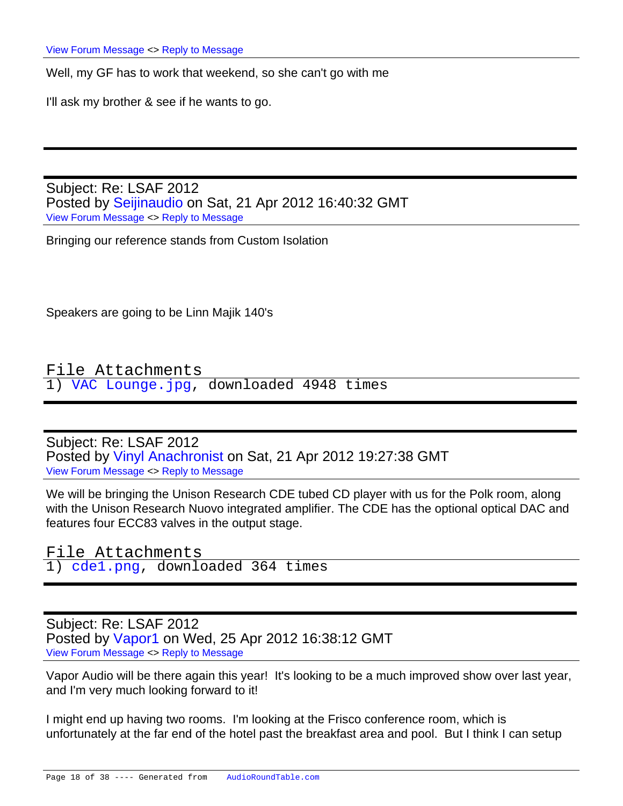Well, my GF has to work that weekend, so she can't go with me

I'll ask my brother & see if he wants to go.

Subject: Re: LSAF 2012 Posted by [Seijinaudio](https://audioroundtable.com/forum/index.php?t=usrinfo&id=4617) on Sat, 21 Apr 2012 16:40:32 GMT [View Forum Message](https://audioroundtable.com/forum/index.php?t=rview&th=17221&goto=72299#msg_72299) <> [Reply to Message](https://audioroundtable.com/forum/index.php?t=post&reply_to=72299)

Bringing our reference stands from Custom Isolation

Speakers are going to be Linn Majik 140's

File Attachments 1) [VAC Lounge.jpg](https://audioroundtable.com/forum/index.php?t=getfile&id=763), downloaded 4948 times

Subject: Re: LSAF 2012 Posted by [Vinyl Anachronist](https://audioroundtable.com/forum/index.php?t=usrinfo&id=4618) on Sat, 21 Apr 2012 19:27:38 GMT [View Forum Message](https://audioroundtable.com/forum/index.php?t=rview&th=17221&goto=72306#msg_72306) <> [Reply to Message](https://audioroundtable.com/forum/index.php?t=post&reply_to=72306)

We will be bringing the Unison Research CDE tubed CD player with us for the Polk room, along with the Unison Research Nuovo integrated amplifier. The CDE has the optional optical DAC and features four ECC83 valves in the output stage.

File Attachments 1) [cde1.png,](https://audioroundtable.com/forum/index.php?t=getfile&id=764) downloaded 364 times

Subject: Re: LSAF 2012 Posted by [Vapor1](https://audioroundtable.com/forum/index.php?t=usrinfo&id=4638) on Wed, 25 Apr 2012 16:38:12 GMT [View Forum Message](https://audioroundtable.com/forum/index.php?t=rview&th=17221&goto=72378#msg_72378) <> [Reply to Message](https://audioroundtable.com/forum/index.php?t=post&reply_to=72378)

Vapor Audio will be there again this year! It's looking to be a much improved show over last year, and I'm very much looking forward to it!

I might end up having two rooms. I'm looking at the Frisco conference room, which is unfortunately at the far end of the hotel past the breakfast area and pool. But I think I can setup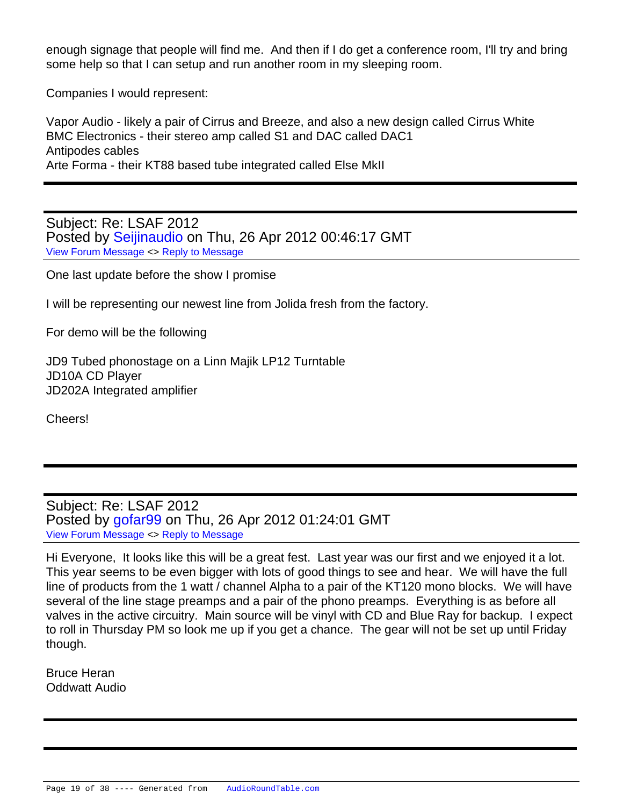enough signage that people will find me. And then if I do get a conference room, I'll try and bring some help so that I can setup and run another room in my sleeping room.

Companies I would represent:

Vapor Audio - likely a pair of Cirrus and Breeze, and also a new design called Cirrus White BMC Electronics - their stereo amp called S1 and DAC called DAC1 Antipodes cables Arte Forma - their KT88 based tube integrated called Else MkII

Subject: Re: LSAF 2012 Posted by [Seijinaudio](https://audioroundtable.com/forum/index.php?t=usrinfo&id=4617) on Thu, 26 Apr 2012 00:46:17 GMT [View Forum Message](https://audioroundtable.com/forum/index.php?t=rview&th=17221&goto=72388#msg_72388) <> [Reply to Message](https://audioroundtable.com/forum/index.php?t=post&reply_to=72388)

One last update before the show I promise

I will be representing our newest line from Jolida fresh from the factory.

For demo will be the following

JD9 Tubed phonostage on a Linn Majik LP12 Turntable JD10A CD Player JD202A Integrated amplifier

Cheers!

Subject: Re: LSAF 2012 Posted by [gofar99](https://audioroundtable.com/forum/index.php?t=usrinfo&id=3806) on Thu, 26 Apr 2012 01:24:01 GMT [View Forum Message](https://audioroundtable.com/forum/index.php?t=rview&th=17221&goto=72389#msg_72389) <> [Reply to Message](https://audioroundtable.com/forum/index.php?t=post&reply_to=72389)

Hi Everyone, It looks like this will be a great fest. Last year was our first and we enjoyed it a lot. This year seems to be even bigger with lots of good things to see and hear. We will have the full line of products from the 1 watt / channel Alpha to a pair of the KT120 mono blocks. We will have several of the line stage preamps and a pair of the phono preamps. Everything is as before all valves in the active circuitry. Main source will be vinyl with CD and Blue Ray for backup. I expect to roll in Thursday PM so look me up if you get a chance. The gear will not be set up until Friday though.

Bruce Heran Oddwatt Audio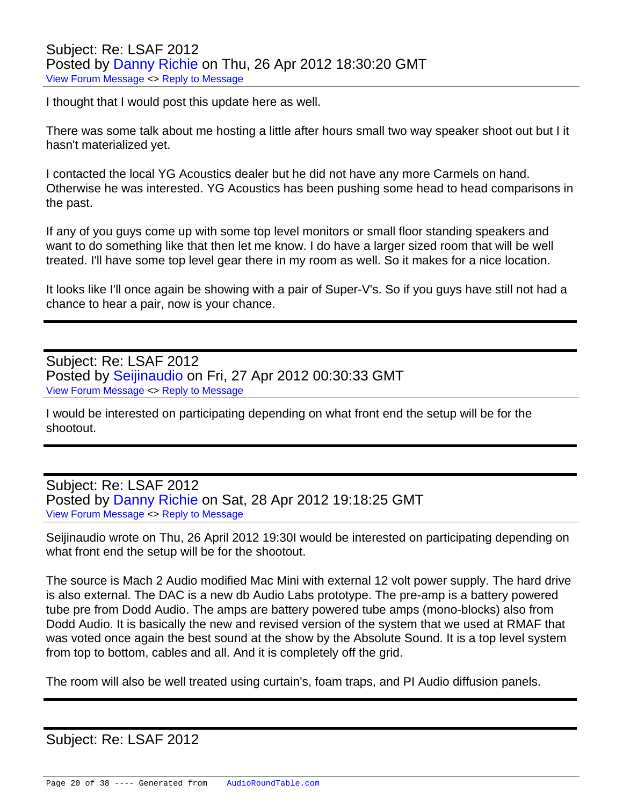I thought that I would post this update here as well.

There was some talk about me hosting a little after hours small two way speaker shoot out but I it hasn't materialized yet.

I contacted the local YG Acoustics dealer but he did not have any more Carmels on hand. Otherwise he was interested. YG Acoustics has been pushing some head to head comparisons in the past.

If any of you guys come up with some top level monitors or small floor standing speakers and want to do something like that then let me know. I do have a larger sized room that will be well treated. I'll have some top level gear there in my room as well. So it makes for a nice location.

It looks like I'll once again be showing with a pair of Super-V's. So if you guys have still not had a chance to hear a pair, now is your chance.

Subject: Re: LSAF 2012 Posted by [Seijinaudio](https://audioroundtable.com/forum/index.php?t=usrinfo&id=4617) on Fri, 27 Apr 2012 00:30:33 GMT [View Forum Message](https://audioroundtable.com/forum/index.php?t=rview&th=17221&goto=72401#msg_72401) <> [Reply to Message](https://audioroundtable.com/forum/index.php?t=post&reply_to=72401)

I would be interested on participating depending on what front end the setup will be for the shootout.

Subject: Re: LSAF 2012 Posted by [Danny Richie](https://audioroundtable.com/forum/index.php?t=usrinfo&id=1500) on Sat, 28 Apr 2012 19:18:25 GMT [View Forum Message](https://audioroundtable.com/forum/index.php?t=rview&th=17221&goto=72423#msg_72423) <> [Reply to Message](https://audioroundtable.com/forum/index.php?t=post&reply_to=72423)

Seijinaudio wrote on Thu, 26 April 2012 19:30I would be interested on participating depending on what front end the setup will be for the shootout.

The source is Mach 2 Audio modified Mac Mini with external 12 volt power supply. The hard drive is also external. The DAC is a new db Audio Labs prototype. The pre-amp is a battery powered tube pre from Dodd Audio. The amps are battery powered tube amps (mono-blocks) also from Dodd Audio. It is basically the new and revised version of the system that we used at RMAF that was voted once again the best sound at the show by the Absolute Sound. It is a top level system from top to bottom, cables and all. And it is completely off the grid.

The room will also be well treated using curtain's, foam traps, and PI Audio diffusion panels.

## Subject: Re: LSAF 2012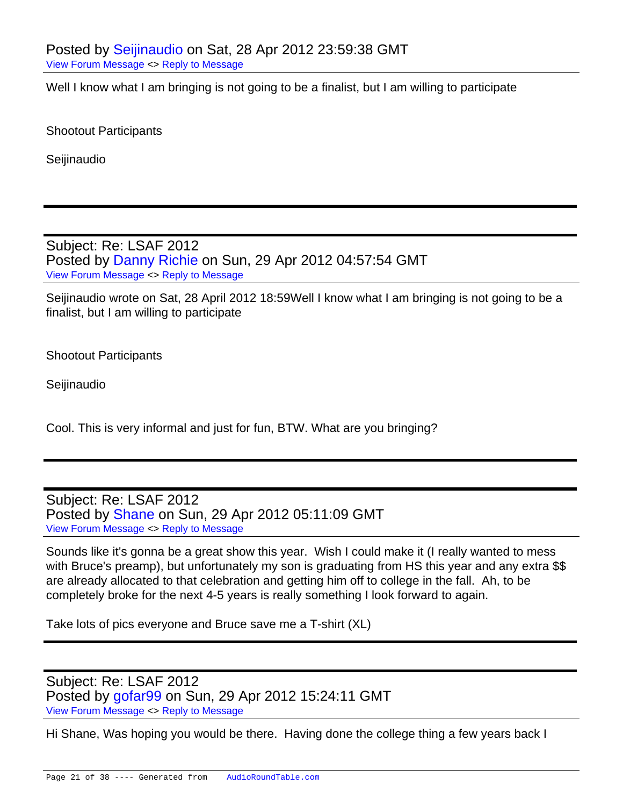Well I know what I am bringing is not going to be a finalist, but I am willing to participate

Shootout Participants

Seijinaudio

Subject: Re: LSAF 2012 Posted by [Danny Richie](https://audioroundtable.com/forum/index.php?t=usrinfo&id=1500) on Sun, 29 Apr 2012 04:57:54 GMT [View Forum Message](https://audioroundtable.com/forum/index.php?t=rview&th=17221&goto=72427#msg_72427) <> [Reply to Message](https://audioroundtable.com/forum/index.php?t=post&reply_to=72427)

Seijinaudio wrote on Sat, 28 April 2012 18:59Well I know what I am bringing is not going to be a finalist, but I am willing to participate

Shootout Participants

**Seijinaudio** 

Cool. This is very informal and just for fun, BTW. What are you bringing?

Subject: Re: LSAF 2012 Posted by [Shane](https://audioroundtable.com/forum/index.php?t=usrinfo&id=175) on Sun, 29 Apr 2012 05:11:09 GMT [View Forum Message](https://audioroundtable.com/forum/index.php?t=rview&th=17221&goto=72428#msg_72428) <> [Reply to Message](https://audioroundtable.com/forum/index.php?t=post&reply_to=72428)

Sounds like it's gonna be a great show this year. Wish I could make it (I really wanted to mess with Bruce's preamp), but unfortunately my son is graduating from HS this year and any extra \$\$ are already allocated to that celebration and getting him off to college in the fall. Ah, to be completely broke for the next 4-5 years is really something I look forward to again.

Take lots of pics everyone and Bruce save me a T-shirt (XL)

Subject: Re: LSAF 2012 Posted by [gofar99](https://audioroundtable.com/forum/index.php?t=usrinfo&id=3806) on Sun, 29 Apr 2012 15:24:11 GMT [View Forum Message](https://audioroundtable.com/forum/index.php?t=rview&th=17221&goto=72435#msg_72435) <> [Reply to Message](https://audioroundtable.com/forum/index.php?t=post&reply_to=72435)

Hi Shane, Was hoping you would be there. Having done the college thing a few years back I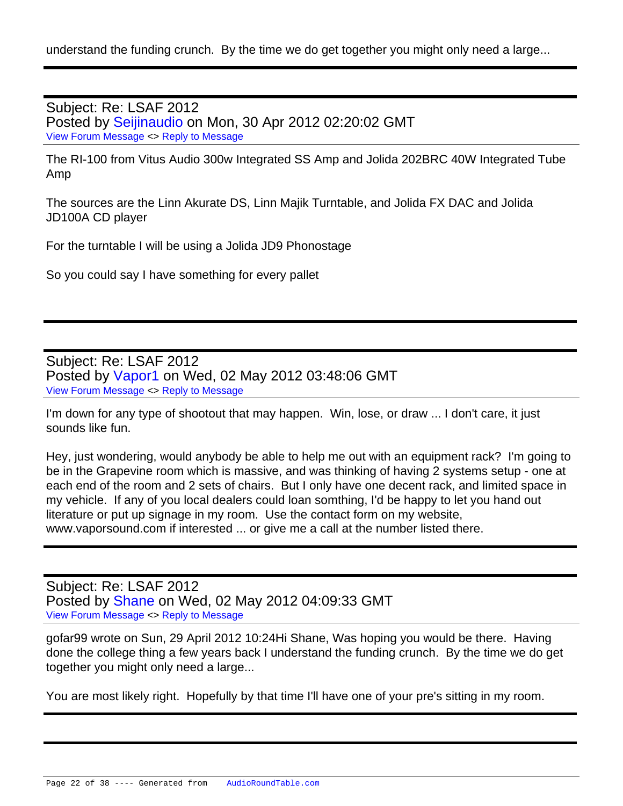understand the funding crunch. By the time we do get together you might only need a large...

Subject: Re: LSAF 2012 Posted by [Seijinaudio](https://audioroundtable.com/forum/index.php?t=usrinfo&id=4617) on Mon, 30 Apr 2012 02:20:02 GMT [View Forum Message](https://audioroundtable.com/forum/index.php?t=rview&th=17221&goto=72444#msg_72444) <> [Reply to Message](https://audioroundtable.com/forum/index.php?t=post&reply_to=72444)

The RI-100 from Vitus Audio 300w Integrated SS Amp and Jolida 202BRC 40W Integrated Tube Amp

The sources are the Linn Akurate DS, Linn Majik Turntable, and Jolida FX DAC and Jolida JD100A CD player

For the turntable I will be using a Jolida JD9 Phonostage

So you could say I have something for every pallet

Subject: Re: LSAF 2012 Posted by [Vapor1](https://audioroundtable.com/forum/index.php?t=usrinfo&id=4638) on Wed, 02 May 2012 03:48:06 GMT [View Forum Message](https://audioroundtable.com/forum/index.php?t=rview&th=17221&goto=72475#msg_72475) <> [Reply to Message](https://audioroundtable.com/forum/index.php?t=post&reply_to=72475)

I'm down for any type of shootout that may happen. Win, lose, or draw ... I don't care, it just sounds like fun.

Hey, just wondering, would anybody be able to help me out with an equipment rack? I'm going to be in the Grapevine room which is massive, and was thinking of having 2 systems setup - one at each end of the room and 2 sets of chairs. But I only have one decent rack, and limited space in my vehicle. If any of you local dealers could loan somthing, I'd be happy to let you hand out literature or put up signage in my room. Use the contact form on my website, www.vaporsound.com if interested ... or give me a call at the number listed there.

Subject: Re: LSAF 2012 Posted by [Shane](https://audioroundtable.com/forum/index.php?t=usrinfo&id=175) on Wed, 02 May 2012 04:09:33 GMT [View Forum Message](https://audioroundtable.com/forum/index.php?t=rview&th=17221&goto=72476#msg_72476) <> [Reply to Message](https://audioroundtable.com/forum/index.php?t=post&reply_to=72476)

gofar99 wrote on Sun, 29 April 2012 10:24Hi Shane, Was hoping you would be there. Having done the college thing a few years back I understand the funding crunch. By the time we do get together you might only need a large...

You are most likely right. Hopefully by that time I'll have one of your pre's sitting in my room.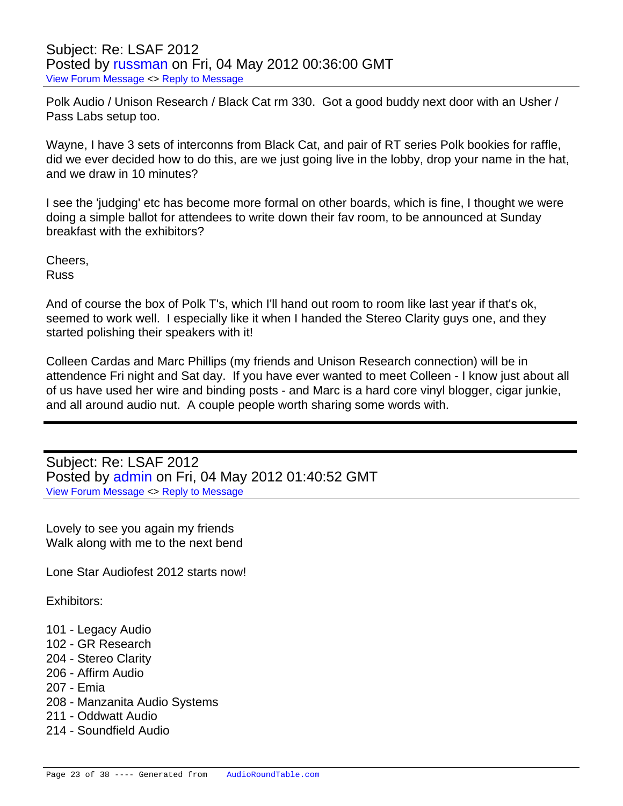Polk Audio / Unison Research / Black Cat rm 330. Got a good buddy next door with an Usher / Pass Labs setup too.

Wayne, I have 3 sets of interconns from Black Cat, and pair of RT series Polk bookies for raffle, did we ever decided how to do this, are we just going live in the lobby, drop your name in the hat, and we draw in 10 minutes?

I see the 'judging' etc has become more formal on other boards, which is fine, I thought we were doing a simple ballot for attendees to write down their fav room, to be announced at Sunday breakfast with the exhibitors?

Cheers, Russ

And of course the box of Polk T's, which I'll hand out room to room like last year if that's ok, seemed to work well. I especially like it when I handed the Stereo Clarity guys one, and they started polishing their speakers with it!

Colleen Cardas and Marc Phillips (my friends and Unison Research connection) will be in attendence Fri night and Sat day. If you have ever wanted to meet Colleen - I know just about all of us have used her wire and binding posts - and Marc is a hard core vinyl blogger, cigar junkie, and all around audio nut. A couple people worth sharing some words with.

Subject: Re: LSAF 2012 Posted by [admin](https://audioroundtable.com/forum/index.php?t=usrinfo&id=2) on Fri, 04 May 2012 01:40:52 GMT [View Forum Message](https://audioroundtable.com/forum/index.php?t=rview&th=17221&goto=72521#msg_72521) <> [Reply to Message](https://audioroundtable.com/forum/index.php?t=post&reply_to=72521)

Lovely to see you again my friends Walk along with me to the next bend

Lone Star Audiofest 2012 starts now!

Exhibitors:

- 101 Legacy Audio
- 102 GR Research
- 204 Stereo Clarity
- 206 Affirm Audio
- 207 Emia
- 208 Manzanita Audio Systems
- 211 Oddwatt Audio
- 214 Soundfield Audio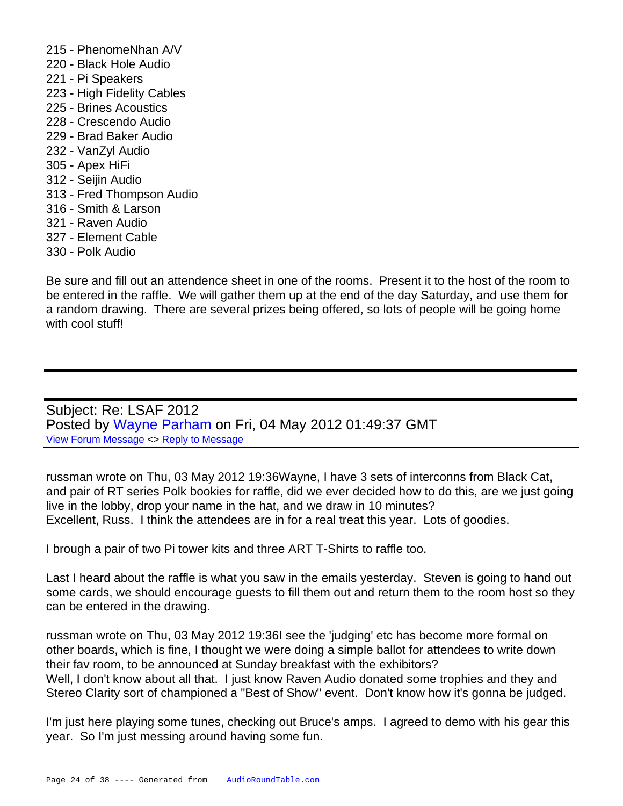- 215 PhenomeNhan A/V
- 220 Black Hole Audio
- 221 Pi Speakers
- 223 High Fidelity Cables
- 225 Brines Acoustics
- 228 Crescendo Audio
- 229 Brad Baker Audio
- 232 VanZyl Audio
- 305 Apex HiFi
- 312 Seijin Audio
- 313 Fred Thompson Audio
- 316 Smith & Larson
- 321 Raven Audio
- 327 Element Cable
- 330 Polk Audio

Be sure and fill out an attendence sheet in one of the rooms. Present it to the host of the room to be entered in the raffle. We will gather them up at the end of the day Saturday, and use them for a random drawing. There are several prizes being offered, so lots of people will be going home with cool stuff!

Subject: Re: LSAF 2012 Posted by [Wayne Parham](https://audioroundtable.com/forum/index.php?t=usrinfo&id=5) on Fri, 04 May 2012 01:49:37 GMT [View Forum Message](https://audioroundtable.com/forum/index.php?t=rview&th=17221&goto=72522#msg_72522) <> [Reply to Message](https://audioroundtable.com/forum/index.php?t=post&reply_to=72522)

russman wrote on Thu, 03 May 2012 19:36Wayne, I have 3 sets of interconns from Black Cat, and pair of RT series Polk bookies for raffle, did we ever decided how to do this, are we just going live in the lobby, drop your name in the hat, and we draw in 10 minutes? Excellent, Russ. I think the attendees are in for a real treat this year. Lots of goodies.

I brough a pair of two Pi tower kits and three ART T-Shirts to raffle too.

Last I heard about the raffle is what you saw in the emails yesterday. Steven is going to hand out some cards, we should encourage guests to fill them out and return them to the room host so they can be entered in the drawing.

russman wrote on Thu, 03 May 2012 19:36I see the 'judging' etc has become more formal on other boards, which is fine, I thought we were doing a simple ballot for attendees to write down their fav room, to be announced at Sunday breakfast with the exhibitors? Well, I don't know about all that. I just know Raven Audio donated some trophies and they and Stereo Clarity sort of championed a "Best of Show" event. Don't know how it's gonna be judged.

I'm just here playing some tunes, checking out Bruce's amps. I agreed to demo with his gear this year. So I'm just messing around having some fun.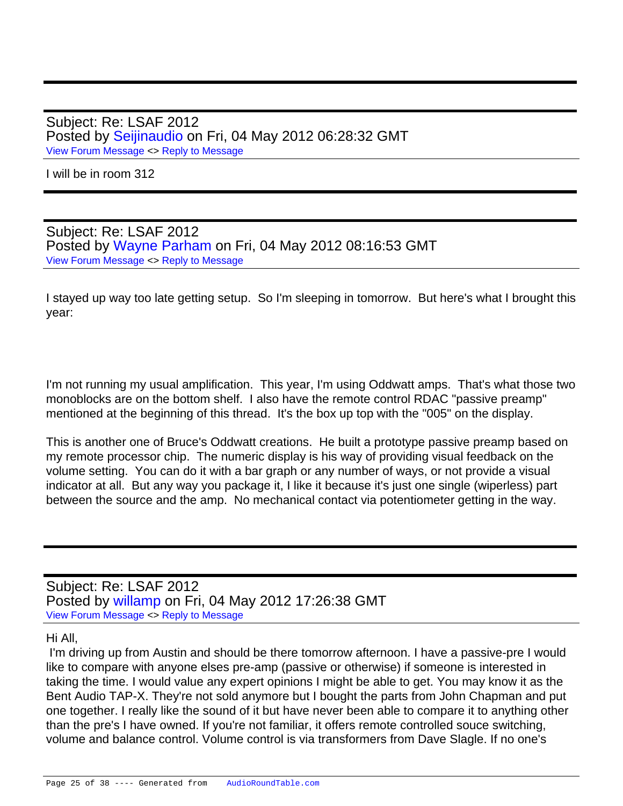Subject: Re: LSAF 2012 Posted by [Seijinaudio](https://audioroundtable.com/forum/index.php?t=usrinfo&id=4617) on Fri, 04 May 2012 06:28:32 GMT [View Forum Message](https://audioroundtable.com/forum/index.php?t=rview&th=17221&goto=72526#msg_72526) <> [Reply to Message](https://audioroundtable.com/forum/index.php?t=post&reply_to=72526)

I will be in room 312

Subject: Re: LSAF 2012 Posted by [Wayne Parham](https://audioroundtable.com/forum/index.php?t=usrinfo&id=5) on Fri, 04 May 2012 08:16:53 GMT [View Forum Message](https://audioroundtable.com/forum/index.php?t=rview&th=17221&goto=72528#msg_72528) <> [Reply to Message](https://audioroundtable.com/forum/index.php?t=post&reply_to=72528)

I stayed up way too late getting setup. So I'm sleeping in tomorrow. But here's what I brought this year:

I'm not running my usual amplification. This year, I'm using Oddwatt amps. That's what those two monoblocks are on the bottom shelf. I also have the remote control RDAC "passive preamp" mentioned at the beginning of this thread. It's the box up top with the "005" on the display.

This is another one of Bruce's Oddwatt creations. He built a prototype passive preamp based on my remote processor chip. The numeric display is his way of providing visual feedback on the volume setting. You can do it with a bar graph or any number of ways, or not provide a visual indicator at all. But any way you package it, I like it because it's just one single (wiperless) part between the source and the amp. No mechanical contact via potentiometer getting in the way.

Subject: Re: LSAF 2012 Posted by [willamp](https://audioroundtable.com/forum/index.php?t=usrinfo&id=4616) on Fri, 04 May 2012 17:26:38 GMT [View Forum Message](https://audioroundtable.com/forum/index.php?t=rview&th=17221&goto=72529#msg_72529) <> [Reply to Message](https://audioroundtable.com/forum/index.php?t=post&reply_to=72529)

## Hi All,

 I'm driving up from Austin and should be there tomorrow afternoon. I have a passive-pre I would like to compare with anyone elses pre-amp (passive or otherwise) if someone is interested in taking the time. I would value any expert opinions I might be able to get. You may know it as the Bent Audio TAP-X. They're not sold anymore but I bought the parts from John Chapman and put one together. I really like the sound of it but have never been able to compare it to anything other than the pre's I have owned. If you're not familiar, it offers remote controlled souce switching, volume and balance control. Volume control is via transformers from Dave Slagle. If no one's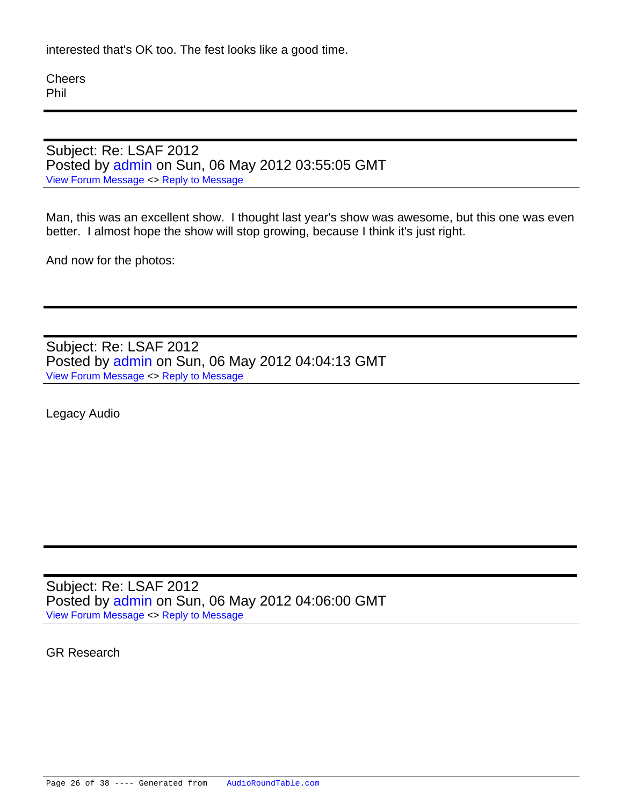interested that's OK too. The fest looks like a good time.

**Cheers** Phil

Subject: Re: LSAF 2012 Posted by [admin](https://audioroundtable.com/forum/index.php?t=usrinfo&id=2) on Sun, 06 May 2012 03:55:05 GMT [View Forum Message](https://audioroundtable.com/forum/index.php?t=rview&th=17221&goto=72548#msg_72548) <> [Reply to Message](https://audioroundtable.com/forum/index.php?t=post&reply_to=72548)

Man, this was an excellent show. I thought last year's show was awesome, but this one was even better. I almost hope the show will stop growing, because I think it's just right.

And now for the photos:

Subject: Re: LSAF 2012 Posted by [admin](https://audioroundtable.com/forum/index.php?t=usrinfo&id=2) on Sun, 06 May 2012 04:04:13 GMT [View Forum Message](https://audioroundtable.com/forum/index.php?t=rview&th=17221&goto=72549#msg_72549) <> [Reply to Message](https://audioroundtable.com/forum/index.php?t=post&reply_to=72549)

Legacy Audio

Subject: Re: LSAF 2012 Posted by [admin](https://audioroundtable.com/forum/index.php?t=usrinfo&id=2) on Sun, 06 May 2012 04:06:00 GMT [View Forum Message](https://audioroundtable.com/forum/index.php?t=rview&th=17221&goto=72550#msg_72550) <> [Reply to Message](https://audioroundtable.com/forum/index.php?t=post&reply_to=72550)

GR Research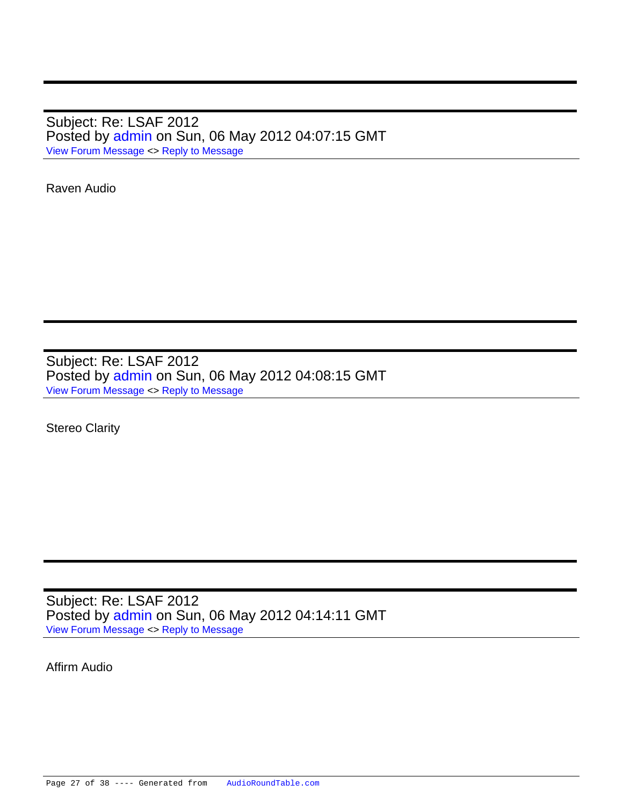Subject: Re: LSAF 2012 Posted by [admin](https://audioroundtable.com/forum/index.php?t=usrinfo&id=2) on Sun, 06 May 2012 04:07:15 GMT [View Forum Message](https://audioroundtable.com/forum/index.php?t=rview&th=17221&goto=72551#msg_72551) <> [Reply to Message](https://audioroundtable.com/forum/index.php?t=post&reply_to=72551)

Raven Audio

Subject: Re: LSAF 2012 Posted by [admin](https://audioroundtable.com/forum/index.php?t=usrinfo&id=2) on Sun, 06 May 2012 04:08:15 GMT [View Forum Message](https://audioroundtable.com/forum/index.php?t=rview&th=17221&goto=72552#msg_72552) <> [Reply to Message](https://audioroundtable.com/forum/index.php?t=post&reply_to=72552)

Stereo Clarity

Subject: Re: LSAF 2012 Posted by [admin](https://audioroundtable.com/forum/index.php?t=usrinfo&id=2) on Sun, 06 May 2012 04:14:11 GMT [View Forum Message](https://audioroundtable.com/forum/index.php?t=rview&th=17221&goto=72553#msg_72553) <> [Reply to Message](https://audioroundtable.com/forum/index.php?t=post&reply_to=72553)

Affirm Audio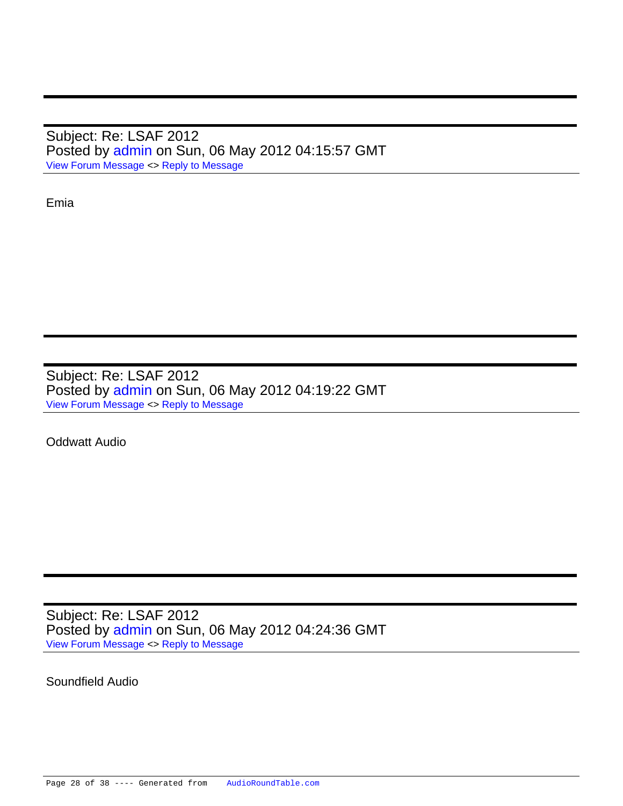Subject: Re: LSAF 2012 Posted by [admin](https://audioroundtable.com/forum/index.php?t=usrinfo&id=2) on Sun, 06 May 2012 04:15:57 GMT [View Forum Message](https://audioroundtable.com/forum/index.php?t=rview&th=17221&goto=72554#msg_72554) <> [Reply to Message](https://audioroundtable.com/forum/index.php?t=post&reply_to=72554)

Emia

Subject: Re: LSAF 2012 Posted by [admin](https://audioroundtable.com/forum/index.php?t=usrinfo&id=2) on Sun, 06 May 2012 04:19:22 GMT [View Forum Message](https://audioroundtable.com/forum/index.php?t=rview&th=17221&goto=72555#msg_72555) <> [Reply to Message](https://audioroundtable.com/forum/index.php?t=post&reply_to=72555)

Oddwatt Audio

Subject: Re: LSAF 2012 Posted by [admin](https://audioroundtable.com/forum/index.php?t=usrinfo&id=2) on Sun, 06 May 2012 04:24:36 GMT [View Forum Message](https://audioroundtable.com/forum/index.php?t=rview&th=17221&goto=72556#msg_72556) <> [Reply to Message](https://audioroundtable.com/forum/index.php?t=post&reply_to=72556)

Soundfield Audio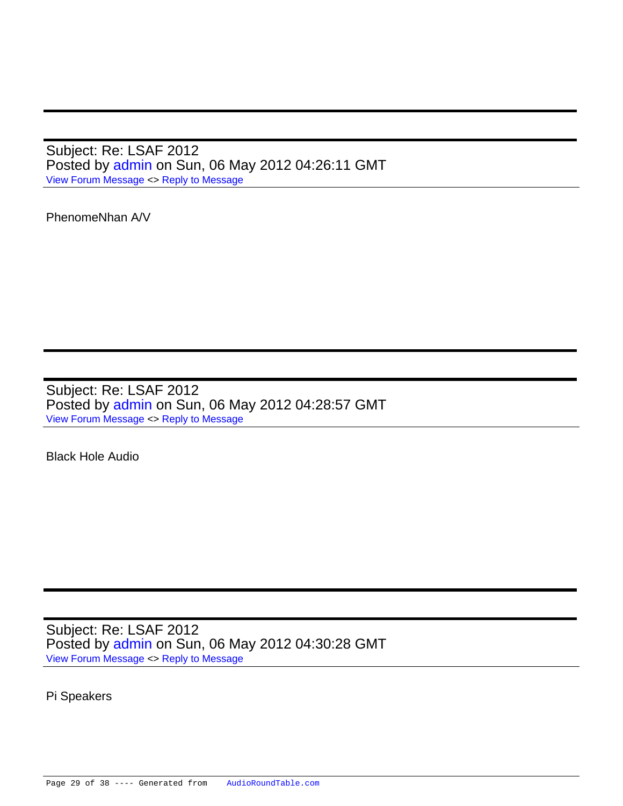Subject: Re: LSAF 2012 Posted by [admin](https://audioroundtable.com/forum/index.php?t=usrinfo&id=2) on Sun, 06 May 2012 04:26:11 GMT [View Forum Message](https://audioroundtable.com/forum/index.php?t=rview&th=17221&goto=72557#msg_72557) <> [Reply to Message](https://audioroundtable.com/forum/index.php?t=post&reply_to=72557)

PhenomeNhan A/V

Subject: Re: LSAF 2012 Posted by [admin](https://audioroundtable.com/forum/index.php?t=usrinfo&id=2) on Sun, 06 May 2012 04:28:57 GMT [View Forum Message](https://audioroundtable.com/forum/index.php?t=rview&th=17221&goto=72558#msg_72558) <> [Reply to Message](https://audioroundtable.com/forum/index.php?t=post&reply_to=72558)

Black Hole Audio

Subject: Re: LSAF 2012 Posted by [admin](https://audioroundtable.com/forum/index.php?t=usrinfo&id=2) on Sun, 06 May 2012 04:30:28 GMT [View Forum Message](https://audioroundtable.com/forum/index.php?t=rview&th=17221&goto=72559#msg_72559) <> [Reply to Message](https://audioroundtable.com/forum/index.php?t=post&reply_to=72559)

Pi Speakers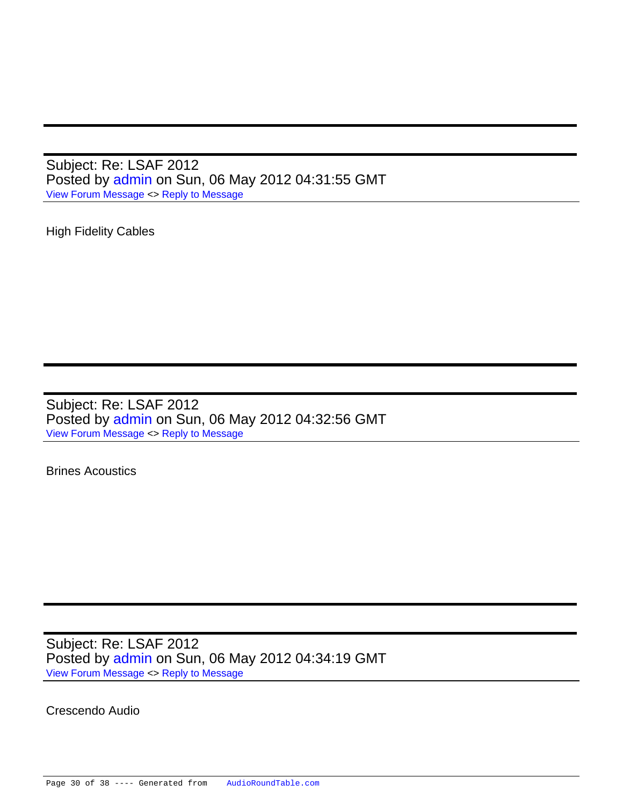Subject: Re: LSAF 2012 Posted by [admin](https://audioroundtable.com/forum/index.php?t=usrinfo&id=2) on Sun, 06 May 2012 04:31:55 GMT [View Forum Message](https://audioroundtable.com/forum/index.php?t=rview&th=17221&goto=72560#msg_72560) <> [Reply to Message](https://audioroundtable.com/forum/index.php?t=post&reply_to=72560)

High Fidelity Cables

Subject: Re: LSAF 2012 Posted by [admin](https://audioroundtable.com/forum/index.php?t=usrinfo&id=2) on Sun, 06 May 2012 04:32:56 GMT [View Forum Message](https://audioroundtable.com/forum/index.php?t=rview&th=17221&goto=72561#msg_72561) <> [Reply to Message](https://audioroundtable.com/forum/index.php?t=post&reply_to=72561)

Brines Acoustics

Subject: Re: LSAF 2012 Posted by [admin](https://audioroundtable.com/forum/index.php?t=usrinfo&id=2) on Sun, 06 May 2012 04:34:19 GMT [View Forum Message](https://audioroundtable.com/forum/index.php?t=rview&th=17221&goto=72562#msg_72562) <> [Reply to Message](https://audioroundtable.com/forum/index.php?t=post&reply_to=72562)

Crescendo Audio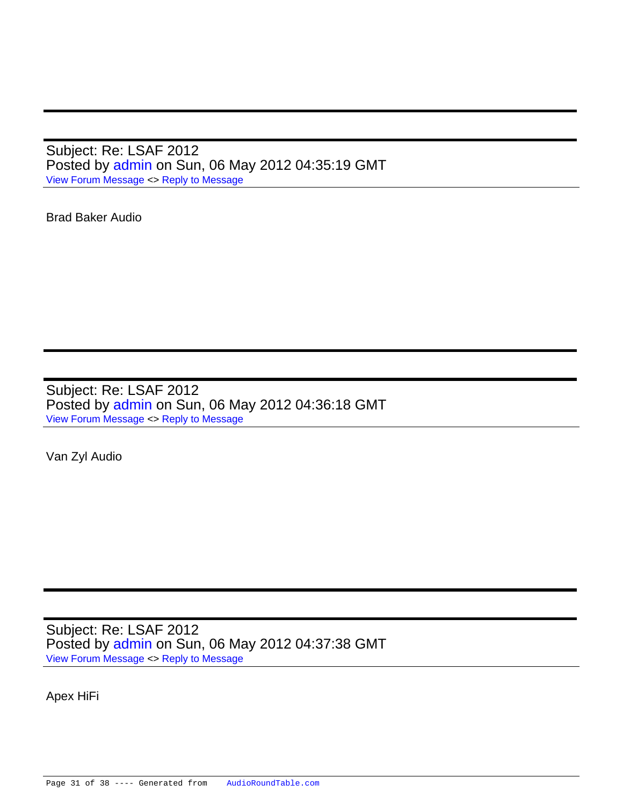Subject: Re: LSAF 2012 Posted by [admin](https://audioroundtable.com/forum/index.php?t=usrinfo&id=2) on Sun, 06 May 2012 04:35:19 GMT [View Forum Message](https://audioroundtable.com/forum/index.php?t=rview&th=17221&goto=72563#msg_72563) <> [Reply to Message](https://audioroundtable.com/forum/index.php?t=post&reply_to=72563)

Brad Baker Audio

Subject: Re: LSAF 2012 Posted by [admin](https://audioroundtable.com/forum/index.php?t=usrinfo&id=2) on Sun, 06 May 2012 04:36:18 GMT [View Forum Message](https://audioroundtable.com/forum/index.php?t=rview&th=17221&goto=72564#msg_72564) <> [Reply to Message](https://audioroundtable.com/forum/index.php?t=post&reply_to=72564)

Van Zyl Audio

Subject: Re: LSAF 2012 Posted by [admin](https://audioroundtable.com/forum/index.php?t=usrinfo&id=2) on Sun, 06 May 2012 04:37:38 GMT [View Forum Message](https://audioroundtable.com/forum/index.php?t=rview&th=17221&goto=72565#msg_72565) <> [Reply to Message](https://audioroundtable.com/forum/index.php?t=post&reply_to=72565)

Apex HiFi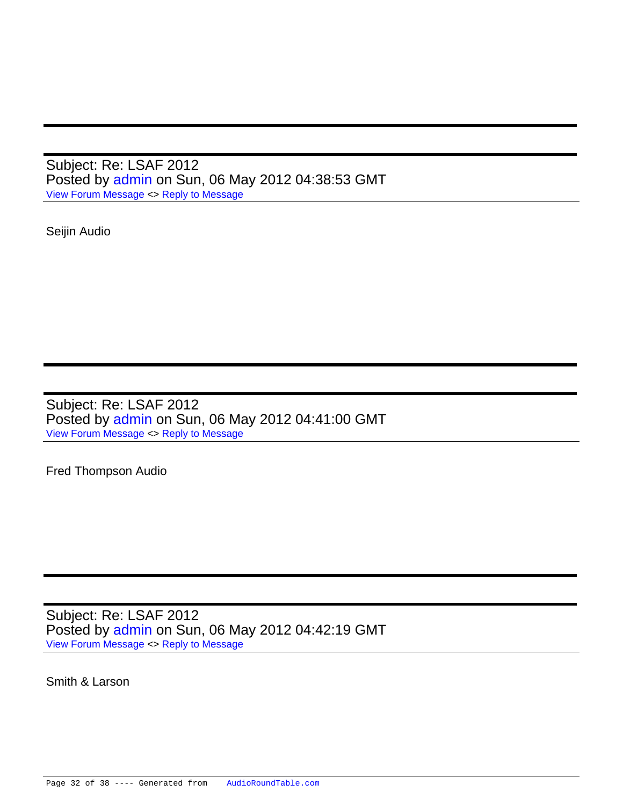Subject: Re: LSAF 2012 Posted by [admin](https://audioroundtable.com/forum/index.php?t=usrinfo&id=2) on Sun, 06 May 2012 04:38:53 GMT [View Forum Message](https://audioroundtable.com/forum/index.php?t=rview&th=17221&goto=72566#msg_72566) <> [Reply to Message](https://audioroundtable.com/forum/index.php?t=post&reply_to=72566)

Seijin Audio

Subject: Re: LSAF 2012 Posted by [admin](https://audioroundtable.com/forum/index.php?t=usrinfo&id=2) on Sun, 06 May 2012 04:41:00 GMT [View Forum Message](https://audioroundtable.com/forum/index.php?t=rview&th=17221&goto=72567#msg_72567) <> [Reply to Message](https://audioroundtable.com/forum/index.php?t=post&reply_to=72567)

Fred Thompson Audio

Subject: Re: LSAF 2012 Posted by [admin](https://audioroundtable.com/forum/index.php?t=usrinfo&id=2) on Sun, 06 May 2012 04:42:19 GMT [View Forum Message](https://audioroundtable.com/forum/index.php?t=rview&th=17221&goto=72568#msg_72568) <> [Reply to Message](https://audioroundtable.com/forum/index.php?t=post&reply_to=72568)

Smith & Larson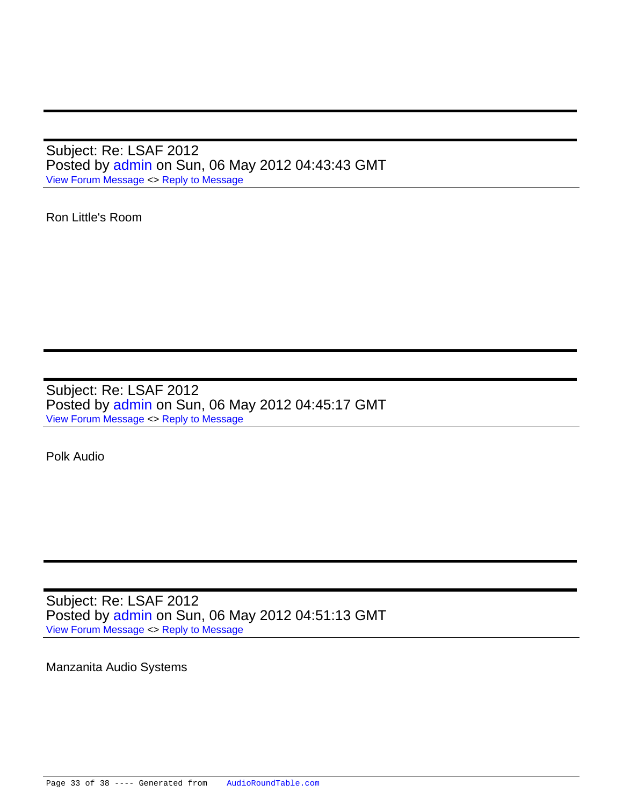Subject: Re: LSAF 2012 Posted by [admin](https://audioroundtable.com/forum/index.php?t=usrinfo&id=2) on Sun, 06 May 2012 04:43:43 GMT [View Forum Message](https://audioroundtable.com/forum/index.php?t=rview&th=17221&goto=72569#msg_72569) <> [Reply to Message](https://audioroundtable.com/forum/index.php?t=post&reply_to=72569)

Ron Little's Room

Subject: Re: LSAF 2012 Posted by [admin](https://audioroundtable.com/forum/index.php?t=usrinfo&id=2) on Sun, 06 May 2012 04:45:17 GMT [View Forum Message](https://audioroundtable.com/forum/index.php?t=rview&th=17221&goto=72570#msg_72570) <> [Reply to Message](https://audioroundtable.com/forum/index.php?t=post&reply_to=72570)

Polk Audio

Subject: Re: LSAF 2012 Posted by [admin](https://audioroundtable.com/forum/index.php?t=usrinfo&id=2) on Sun, 06 May 2012 04:51:13 GMT [View Forum Message](https://audioroundtable.com/forum/index.php?t=rview&th=17221&goto=72571#msg_72571) <> [Reply to Message](https://audioroundtable.com/forum/index.php?t=post&reply_to=72571)

Manzanita Audio Systems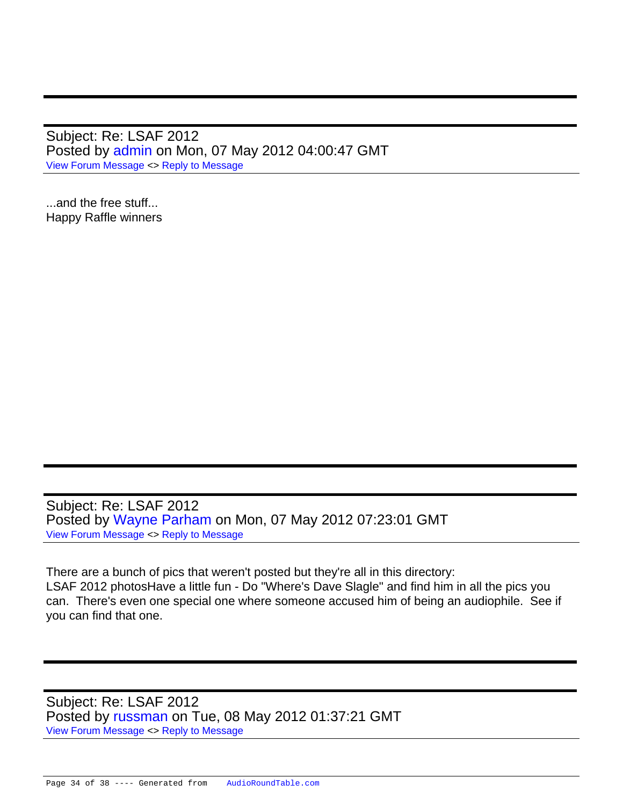Subject: Re: LSAF 2012 Posted by [admin](https://audioroundtable.com/forum/index.php?t=usrinfo&id=2) on Mon, 07 May 2012 04:00:47 GMT [View Forum Message](https://audioroundtable.com/forum/index.php?t=rview&th=17221&goto=72583#msg_72583) <> [Reply to Message](https://audioroundtable.com/forum/index.php?t=post&reply_to=72583)

...and the free stuff... Happy Raffle winners

Subject: Re: LSAF 2012 Posted by [Wayne Parham](https://audioroundtable.com/forum/index.php?t=usrinfo&id=5) on Mon, 07 May 2012 07:23:01 GMT [View Forum Message](https://audioroundtable.com/forum/index.php?t=rview&th=17221&goto=72589#msg_72589) <> [Reply to Message](https://audioroundtable.com/forum/index.php?t=post&reply_to=72589)

There are a bunch of pics that weren't posted but they're all in this directory: LSAF 2012 photosHave a little fun - Do "Where's Dave Slagle" and find him in all the pics you can. There's even one special one where someone accused him of being an audiophile. See if you can find that one.

Subject: Re: LSAF 2012 Posted by [russman](https://audioroundtable.com/forum/index.php?t=usrinfo&id=250) on Tue, 08 May 2012 01:37:21 GMT [View Forum Message](https://audioroundtable.com/forum/index.php?t=rview&th=17221&goto=72606#msg_72606) <> [Reply to Message](https://audioroundtable.com/forum/index.php?t=post&reply_to=72606)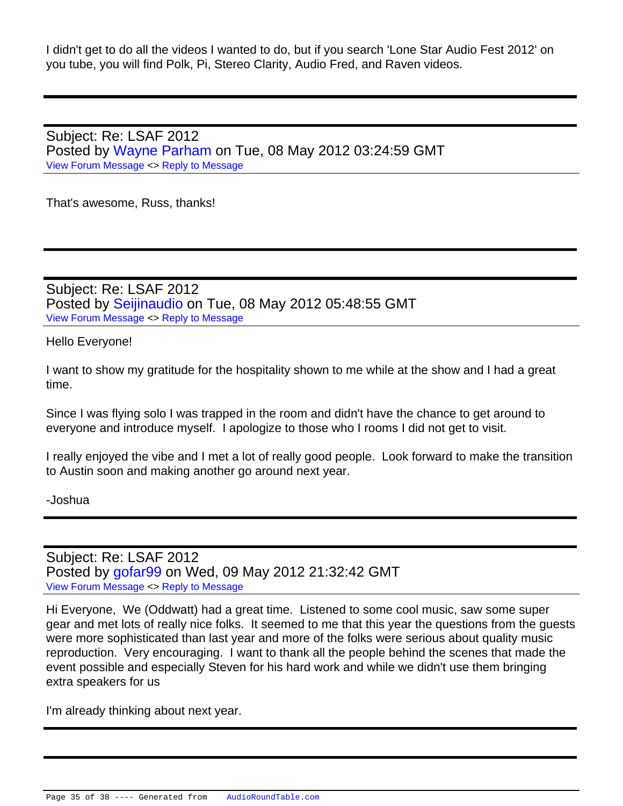I didn't get to do all the videos I wanted to do, but if you search 'Lone Star Audio Fest 2012' on you tube, you will find Polk, Pi, Stereo Clarity, Audio Fred, and Raven videos.

Subject: Re: LSAF 2012 Posted by [Wayne Parham](https://audioroundtable.com/forum/index.php?t=usrinfo&id=5) on Tue, 08 May 2012 03:24:59 GMT [View Forum Message](https://audioroundtable.com/forum/index.php?t=rview&th=17221&goto=72611#msg_72611) <> [Reply to Message](https://audioroundtable.com/forum/index.php?t=post&reply_to=72611)

That's awesome, Russ, thanks!

Subject: Re: LSAF 2012 Posted by [Seijinaudio](https://audioroundtable.com/forum/index.php?t=usrinfo&id=4617) on Tue, 08 May 2012 05:48:55 GMT [View Forum Message](https://audioroundtable.com/forum/index.php?t=rview&th=17221&goto=72615#msg_72615) <> [Reply to Message](https://audioroundtable.com/forum/index.php?t=post&reply_to=72615)

Hello Everyone!

I want to show my gratitude for the hospitality shown to me while at the show and I had a great time.

Since I was flying solo I was trapped in the room and didn't have the chance to get around to everyone and introduce myself. I apologize to those who I rooms I did not get to visit.

I really enjoyed the vibe and I met a lot of really good people. Look forward to make the transition to Austin soon and making another go around next year.

-Joshua

Subject: Re: LSAF 2012 Posted by [gofar99](https://audioroundtable.com/forum/index.php?t=usrinfo&id=3806) on Wed, 09 May 2012 21:32:42 GMT [View Forum Message](https://audioroundtable.com/forum/index.php?t=rview&th=17221&goto=72647#msg_72647) <> [Reply to Message](https://audioroundtable.com/forum/index.php?t=post&reply_to=72647)

Hi Everyone, We (Oddwatt) had a great time. Listened to some cool music, saw some super gear and met lots of really nice folks. It seemed to me that this year the questions from the guests were more sophisticated than last year and more of the folks were serious about quality music reproduction. Very encouraging. I want to thank all the people behind the scenes that made the event possible and especially Steven for his hard work and while we didn't use them bringing extra speakers for us

I'm already thinking about next year.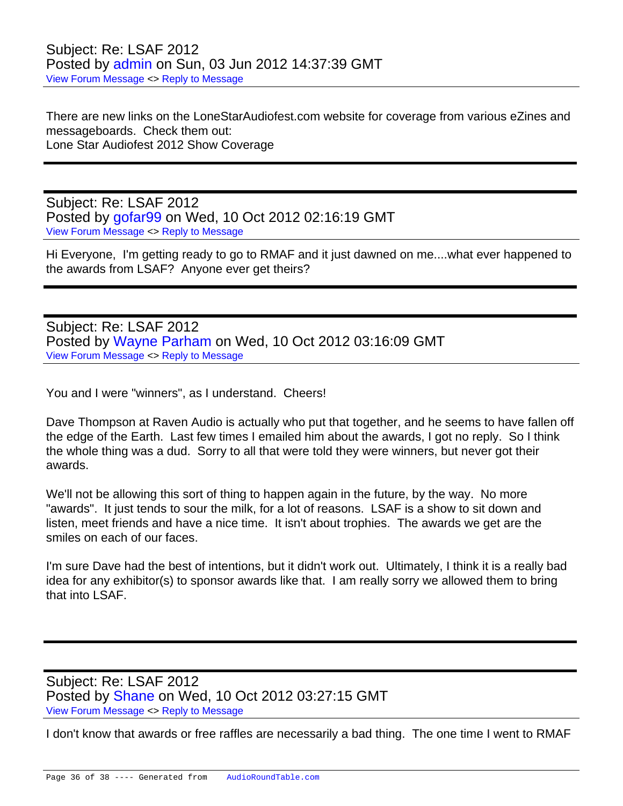There are new links on the LoneStarAudiofest.com website for coverage from various eZines and messageboards. Check them out: Lone Star Audiofest 2012 Show Coverage

Subject: Re: LSAF 2012 Posted by [gofar99](https://audioroundtable.com/forum/index.php?t=usrinfo&id=3806) on Wed, 10 Oct 2012 02:16:19 GMT [View Forum Message](https://audioroundtable.com/forum/index.php?t=rview&th=17221&goto=74099#msg_74099) <> [Reply to Message](https://audioroundtable.com/forum/index.php?t=post&reply_to=74099)

Hi Everyone, I'm getting ready to go to RMAF and it just dawned on me....what ever happened to the awards from LSAF? Anyone ever get theirs?

Subject: Re: LSAF 2012 Posted by [Wayne Parham](https://audioroundtable.com/forum/index.php?t=usrinfo&id=5) on Wed, 10 Oct 2012 03:16:09 GMT [View Forum Message](https://audioroundtable.com/forum/index.php?t=rview&th=17221&goto=74100#msg_74100) <> [Reply to Message](https://audioroundtable.com/forum/index.php?t=post&reply_to=74100)

You and I were "winners", as I understand. Cheers!

Dave Thompson at Raven Audio is actually who put that together, and he seems to have fallen off the edge of the Earth. Last few times I emailed him about the awards, I got no reply. So I think the whole thing was a dud. Sorry to all that were told they were winners, but never got their awards.

We'll not be allowing this sort of thing to happen again in the future, by the way. No more "awards". It just tends to sour the milk, for a lot of reasons. LSAF is a show to sit down and listen, meet friends and have a nice time. It isn't about trophies. The awards we get are the smiles on each of our faces.

I'm sure Dave had the best of intentions, but it didn't work out. Ultimately, I think it is a really bad idea for any exhibitor(s) to sponsor awards like that. I am really sorry we allowed them to bring that into LSAF.

Subject: Re: LSAF 2012 Posted by [Shane](https://audioroundtable.com/forum/index.php?t=usrinfo&id=175) on Wed, 10 Oct 2012 03:27:15 GMT [View Forum Message](https://audioroundtable.com/forum/index.php?t=rview&th=17221&goto=74101#msg_74101) <> [Reply to Message](https://audioroundtable.com/forum/index.php?t=post&reply_to=74101)

I don't know that awards or free raffles are necessarily a bad thing. The one time I went to RMAF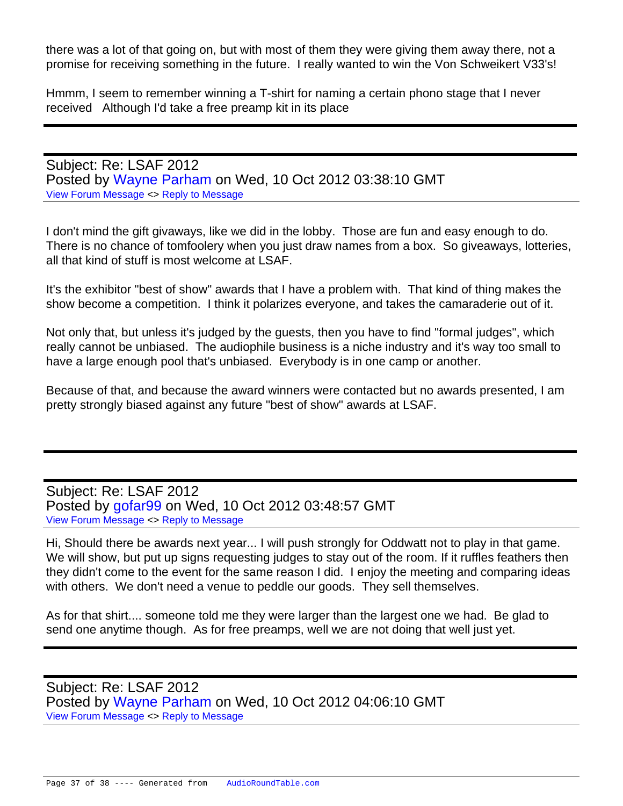there was a lot of that going on, but with most of them they were giving them away there, not a promise for receiving something in the future. I really wanted to win the Von Schweikert V33's!

Hmmm, I seem to remember winning a T-shirt for naming a certain phono stage that I never received Although I'd take a free preamp kit in its place

Subject: Re: LSAF 2012 Posted by [Wayne Parham](https://audioroundtable.com/forum/index.php?t=usrinfo&id=5) on Wed, 10 Oct 2012 03:38:10 GMT [View Forum Message](https://audioroundtable.com/forum/index.php?t=rview&th=17221&goto=74102#msg_74102) <> [Reply to Message](https://audioroundtable.com/forum/index.php?t=post&reply_to=74102)

I don't mind the gift givaways, like we did in the lobby. Those are fun and easy enough to do. There is no chance of tomfoolery when you just draw names from a box. So giveaways, lotteries, all that kind of stuff is most welcome at LSAF.

It's the exhibitor "best of show" awards that I have a problem with. That kind of thing makes the show become a competition. I think it polarizes everyone, and takes the camaraderie out of it.

Not only that, but unless it's judged by the guests, then you have to find "formal judges", which really cannot be unbiased. The audiophile business is a niche industry and it's way too small to have a large enough pool that's unbiased. Everybody is in one camp or another.

Because of that, and because the award winners were contacted but no awards presented, I am pretty strongly biased against any future "best of show" awards at LSAF.

Subject: Re: LSAF 2012 Posted by [gofar99](https://audioroundtable.com/forum/index.php?t=usrinfo&id=3806) on Wed, 10 Oct 2012 03:48:57 GMT [View Forum Message](https://audioroundtable.com/forum/index.php?t=rview&th=17221&goto=74103#msg_74103) <> [Reply to Message](https://audioroundtable.com/forum/index.php?t=post&reply_to=74103)

Hi, Should there be awards next year... I will push strongly for Oddwatt not to play in that game. We will show, but put up signs requesting judges to stay out of the room. If it ruffles feathers then they didn't come to the event for the same reason I did. I enjoy the meeting and comparing ideas with others. We don't need a venue to peddle our goods. They sell themselves.

As for that shirt.... someone told me they were larger than the largest one we had. Be glad to send one anytime though. As for free preamps, well we are not doing that well just yet.

Subject: Re: LSAF 2012 Posted by [Wayne Parham](https://audioroundtable.com/forum/index.php?t=usrinfo&id=5) on Wed, 10 Oct 2012 04:06:10 GMT [View Forum Message](https://audioroundtable.com/forum/index.php?t=rview&th=17221&goto=74104#msg_74104) <> [Reply to Message](https://audioroundtable.com/forum/index.php?t=post&reply_to=74104)